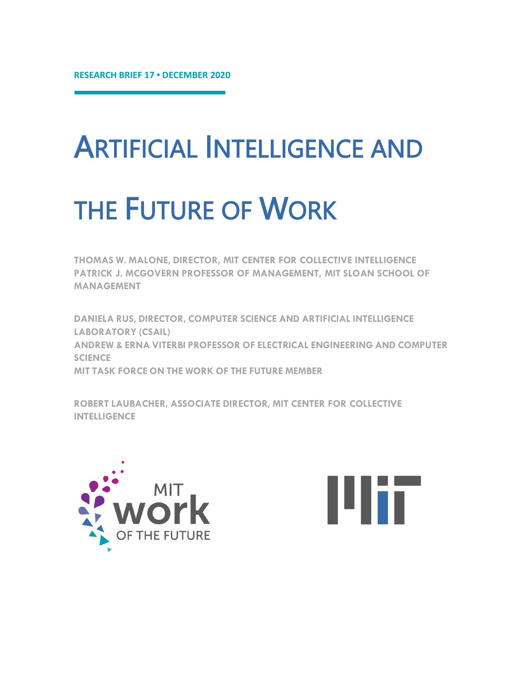## ARTIFICIAL INTELLIGENCE AND

# THE FUTURE OF WORK

**THOMAS W. MALONE, DIRECTOR, MIT CENTER FOR COLLECTIVE INTELLIGENCE PATRICK J. MCGOVERN PROFESSOR OF MANAGEMENT, MIT SLOAN SCHOOL OF MANAGEMENT**

**DANIELA RUS, DIRECTOR, COMPUTER SCIENCE AND ARTIFICIAL INTELLIGENCE LABORATORY (CSAIL) ANDREW & ERNA VITERBI PROFESSOR OF ELECTRICAL ENGINEERING AND COMPUTER SCIENCE MIT TASK FORCE ON THE WORK OF THE FUTURE MEMBER**

**ROBERT LAUBACHER, ASSOCIATE DIRECTOR, MIT CENTER FOR COLLECTIVE INTELLIGENCE**



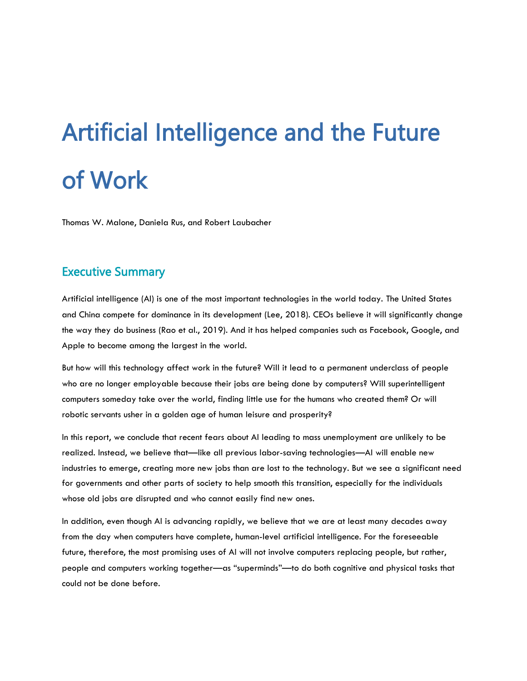# Artificial Intelligence and the Future of Work

Thomas W. Malone, Daniela Rus, and Robert Laubacher

## Executive Summary

Artificial intelligence (AI) is one of the most important technologies in the world today. The United States and China compete for dominance in its development (Lee, 2018). CEOs believe it will significantly change the way they do business (Rao et al., 2019). And it has helped companies such as Facebook, Google, and Apple to become among the largest in the world.

But how will this technology affect work in the future? Will it lead to a permanent underclass of people who are no longer employable because their jobs are being done by computers? Will superintelligent computers someday take over the world, finding little use for the humans who created them? Or will robotic servants usher in a golden age of human leisure and prosperity?

In this report, we conclude that recent fears about AI leading to mass unemployment are unlikely to be realized. Instead, we believe that—like all previous labor-saving technologies—AI will enable new industries to emerge, creating more new jobs than are lost to the technology. But we see a significant need for governments and other parts of society to help smooth this transition, especially for the individuals whose old jobs are disrupted and who cannot easily find new ones.

In addition, even though AI is advancing rapidly, we believe that we are at least many decades away from the day when computers have complete, human-level artificial intelligence. For the foreseeable future, therefore, the most promising uses of AI will not involve computers replacing people, but rather, people and computers working together—as "superminds"—to do both cognitive and physical tasks that could not be done before.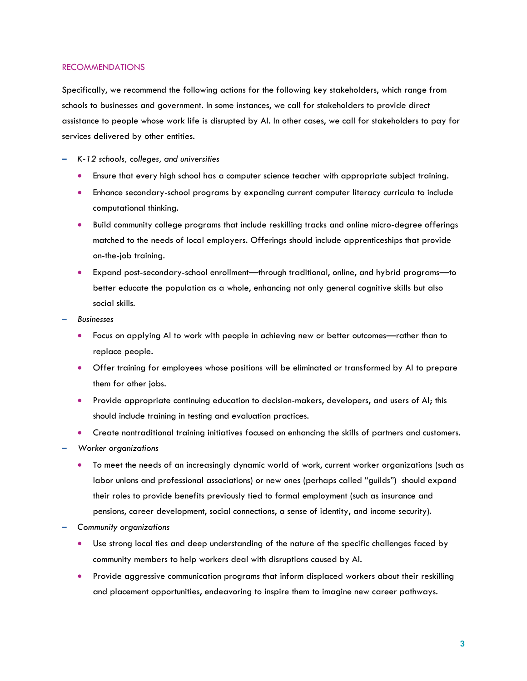#### RECOMMENDATIONS

Specifically, we recommend the following actions for the following key stakeholders, which range from schools to businesses and government. In some instances, we call for stakeholders to provide direct assistance to people whose work life is disrupted by AI. In other cases, we call for stakeholders to pay for services delivered by other entities.

- **–** *K-12 schools, colleges, and universities*
	- Ensure that every high school has a computer science teacher with appropriate subject training.
	- Enhance secondary-school programs by expanding current computer literacy curricula to include computational thinking.
	- Build community college programs that include reskilling tracks and online micro-degree offerings matched to the needs of local employers. Offerings should include apprenticeships that provide on-the-job training.
	- Expand post-secondary-school enrollment—through traditional, online, and hybrid programs—to better educate the population as a whole, enhancing not only general cognitive skills but also social skills*.*
- **–** *Businesses*
	- Focus on applying AI to work with people in achieving new or better outcomes—rather than to replace people.
	- Offer training for employees whose positions will be eliminated or transformed by AI to prepare them for other jobs.
	- Provide appropriate continuing education to decision-makers, developers, and users of AI; this should include training in testing and evaluation practices.
	- Create nontraditional training initiatives focused on enhancing the skills of partners and customers.
- **–** *Worker organizations*
	- To meet the needs of an increasingly dynamic world of work, current worker organizations (such as labor unions and professional associations) or new ones (perhaps called "guilds") should expand their roles to provide benefits previously tied to formal employment (such as insurance and pensions, career development, social connections, a sense of identity, and income security).
- **–** *Community organizations*
	- Use strong local ties and deep understanding of the nature of the specific challenges faced by community members to help workers deal with disruptions caused by AI.
	- Provide aggressive communication programs that inform displaced workers about their reskilling and placement opportunities, endeavoring to inspire them to imagine new career pathways.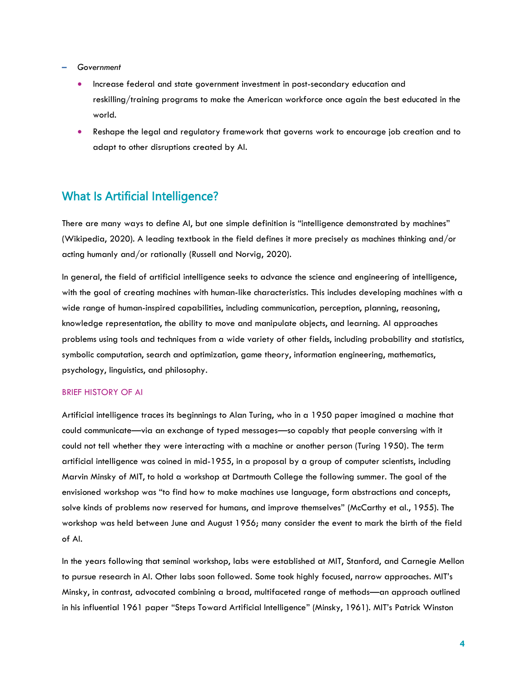#### **–** *Government*

- Increase federal and state government investment in post-secondary education and reskilling/training programs to make the American workforce once again the best educated in the world.
- Reshape the legal and regulatory framework that governs work to encourage job creation and to adapt to other disruptions created by AI.

## What Is Artificial Intelligence?

There are many ways to define AI, but one simple definition is "intelligence demonstrated by machines" (Wikipedia, 2020). A leading textbook in the field defines it more precisely as machines thinking and/or acting humanly and/or rationally (Russell and Norvig, 2020).

In general, the field of artificial intelligence seeks to advance the science and engineering of intelligence, with the goal of creating machines with human-like characteristics. This includes developing machines with a wide range of human-inspired capabilities, including communication, perception, planning, reasoning, knowledge representation, the ability to move and manipulate objects, and learning. AI approaches problems using tools and techniques from a wide variety of other fields, including probability and statistics, symbolic computation, search and optimization, game theory, information engineering, mathematics, psychology, linguistics, and philosophy.

#### BRIEF HISTORY OF AI

Artificial intelligence traces its beginnings to Alan Turing, who in a 1950 paper imagined a machine that could communicate—via an exchange of typed messages—so capably that people conversing with it could not tell whether they were interacting with a machine or another person (Turing 1950). The term artificial intelligence was coined in mid-1955, in a proposal by a group of computer scientists, including Marvin Minsky of MIT, to hold a workshop at Dartmouth College the following summer. The goal of the envisioned workshop was "to find how to make machines use language, form abstractions and concepts, solve kinds of problems now reserved for humans, and improve themselves" (McCarthy et al., 1955). The workshop was held between June and August 1956; many consider the event to mark the birth of the field of AI.

In the years following that seminal workshop, labs were established at MIT, Stanford, and Carnegie Mellon to pursue research in AI. Other labs soon followed. Some took highly focused, narrow approaches. MIT's Minsky, in contrast, advocated combining a broad, multifaceted range of methods—an approach outlined in his influential 1961 paper "Steps Toward Artificial Intelligence" (Minsky, 1961). MIT's Patrick Winston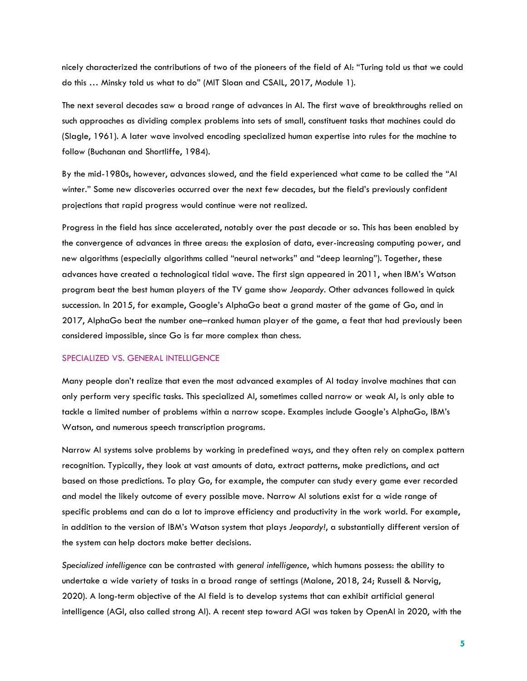nicely characterized the contributions of two of the pioneers of the field of AI: "Turing told us that we could do this … Minsky told us what to do" (MIT Sloan and CSAIL, 2017, Module 1).

The next several decades saw a broad range of advances in AI. The first wave of breakthroughs relied on such approaches as dividing complex problems into sets of small, constituent tasks that machines could do (Slagle, 1961). A later wave involved encoding specialized human expertise into rules for the machine to follow (Buchanan and Shortliffe, 1984).

By the mid-1980s, however, advances slowed, and the field experienced what came to be called the "AI winter." Some new discoveries occurred over the next few decades, but the field's previously confident projections that rapid progress would continue were not realized.

Progress in the field has since accelerated, notably over the past decade or so. This has been enabled by the convergence of advances in three areas: the explosion of data, ever-increasing computing power, and new algorithms (especially algorithms called "neural networks" and "deep learning"). Together, these advances have created a technological tidal wave. The first sign appeared in 2011, when IBM's Watson program beat the best human players of the TV game show *Jeopardy*. Other advances followed in quick succession. In 2015, for example, Google's AlphaGo beat a grand master of the game of Go, and in 2017, AlphaGo beat the number one–ranked human player of the game, a feat that had previously been considered impossible, since Go is far more complex than chess.

#### SPECIALIZED VS. GENERAL INTELLIGENCE

Many people don't realize that even the most advanced examples of AI today involve machines that can only perform very specific tasks. This specialized AI, sometimes called narrow or weak AI, is only able to tackle a limited number of problems within a narrow scope. Examples include Google's AlphaGo, IBM's Watson, and numerous speech transcription programs.

Narrow AI systems solve problems by working in predefined ways, and they often rely on complex pattern recognition. Typically, they look at vast amounts of data, extract patterns, make predictions, and act based on those predictions. To play Go, for example, the computer can study every game ever recorded and model the likely outcome of every possible move. Narrow AI solutions exist for a wide range of specific problems and can do a lot to improve efficiency and productivity in the work world. For example, in addition to the version of IBM's Watson system that plays *Jeopardy!*, a substantially different version of the system can help doctors make better decisions.

*Specialized intelligence* can be contrasted with *general intelligence*, which humans possess: the ability to undertake a wide variety of tasks in a broad range of settings (Malone, 2018, 24; Russell & Norvig, 2020). A long-term objective of the AI field is to develop systems that can exhibit artificial general intelligence (AGI, also called strong AI). A recent step toward AGI was taken by OpenAI in 2020, with the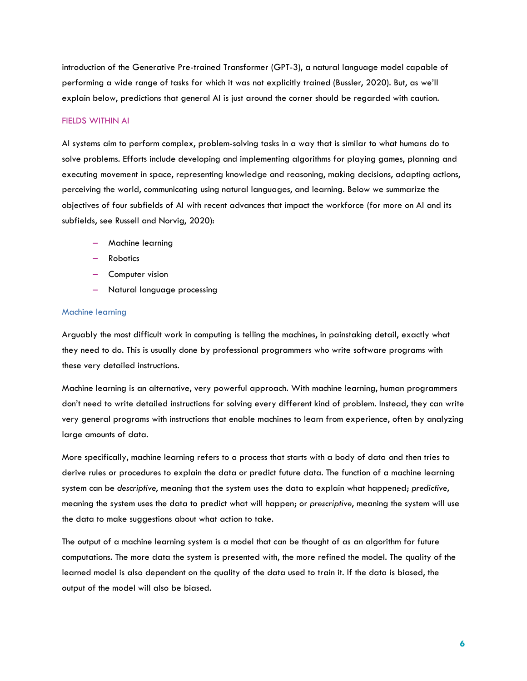introduction of the Generative Pre-trained Transformer (GPT-3), a natural language model capable of performing a wide range of tasks for which it was not explicitly trained (Bussler, 2020). But, as we'll explain below, predictions that general AI is just around the corner should be regarded with caution.

#### FIELDS WITHIN AI

AI systems aim to perform complex, problem-solving tasks in a way that is similar to what humans do to solve problems. Efforts include developing and implementing algorithms for playing games, planning and executing movement in space, representing knowledge and reasoning, making decisions, adapting actions, perceiving the world, communicating using natural languages, and learning. Below we summarize the objectives of four subfields of AI with recent advances that impact the workforce (for more on AI and its subfields, see Russell and Norvig, 2020):

- Machine learning
- Robotics
- Computer vision
- Natural language processing

#### Machine learning

Arguably the most difficult work in computing is telling the machines, in painstaking detail, exactly what they need to do. This is usually done by professional programmers who write software programs with these very detailed instructions.

Machine learning is an alternative, very powerful approach. With machine learning, human programmers don't need to write detailed instructions for solving every different kind of problem. Instead, they can write very general programs with instructions that enable machines to learn from experience, often by analyzing large amounts of data.

More specifically, machine learning refers to a process that starts with a body of data and then tries to derive rules or procedures to explain the data or predict future data. The function of a machine learning system can be *descriptive*, meaning that the system uses the data to explain what happened; *predictive*, meaning the system uses the data to predict what will happen; or *prescriptive*, meaning the system will use the data to make suggestions about what action to take.

The output of a machine learning system is a model that can be thought of as an algorithm for future computations. The more data the system is presented with, the more refined the model. The quality of the learned model is also dependent on the quality of the data used to train it. If the data is biased, the output of the model will also be biased.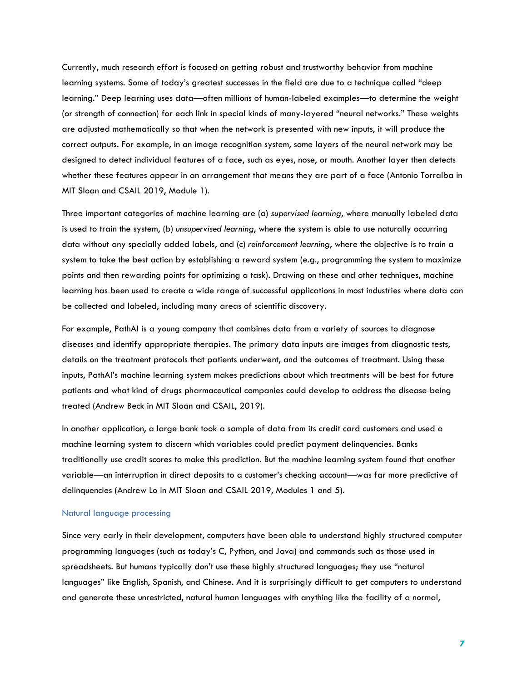Currently, much research effort is focused on getting robust and trustworthy behavior from machine learning systems. Some of today's greatest successes in the field are due to a technique called "deep learning." Deep learning uses data—often millions of human-labeled examples—to determine the weight (or strength of connection) for each link in special kinds of many-layered "neural networks." These weights are adjusted mathematically so that when the network is presented with new inputs, it will produce the correct outputs. For example, in an image recognition system, some layers of the neural network may be designed to detect individual features of a face, such as eyes, nose, or mouth. Another layer then detects whether these features appear in an arrangement that means they are part of a face (Antonio Torralba in MIT Sloan and CSAIL 2019, Module 1).

Three important categories of machine learning are (a) *supervised learning*, where manually labeled data is used to train the system, (b) *unsupervised learning*, where the system is able to use naturally occurring data without any specially added labels, and (c) *reinforcement learning*, where the objective is to train a system to take the best action by establishing a reward system (e.g., programming the system to maximize points and then rewarding points for optimizing a task). Drawing on these and other techniques, machine learning has been used to create a wide range of successful applications in most industries where data can be collected and labeled, including many areas of scientific discovery.

For example, PathAI is a young company that combines data from a variety of sources to diagnose diseases and identify appropriate therapies. The primary data inputs are images from diagnostic tests, details on the treatment protocols that patients underwent, and the outcomes of treatment. Using these inputs, PathAI's machine learning system makes predictions about which treatments will be best for future patients and what kind of drugs pharmaceutical companies could develop to address the disease being treated (Andrew Beck in MIT Sloan and CSAIL, 2019).

In another application, a large bank took a sample of data from its credit card customers and used a machine learning system to discern which variables could predict payment delinquencies. Banks traditionally use credit scores to make this prediction. But the machine learning system found that another variable—an interruption in direct deposits to a customer's checking account—was far more predictive of delinquencies (Andrew Lo in MIT Sloan and CSAIL 2019, Modules 1 and 5).

#### Natural language processing

Since very early in their development, computers have been able to understand highly structured computer programming languages (such as today's C, Python, and Java) and commands such as those used in spreadsheets. But humans typically don't use these highly structured languages; they use "natural languages" like English, Spanish, and Chinese. And it is surprisingly difficult to get computers to understand and generate these unrestricted, natural human languages with anything like the facility of a normal,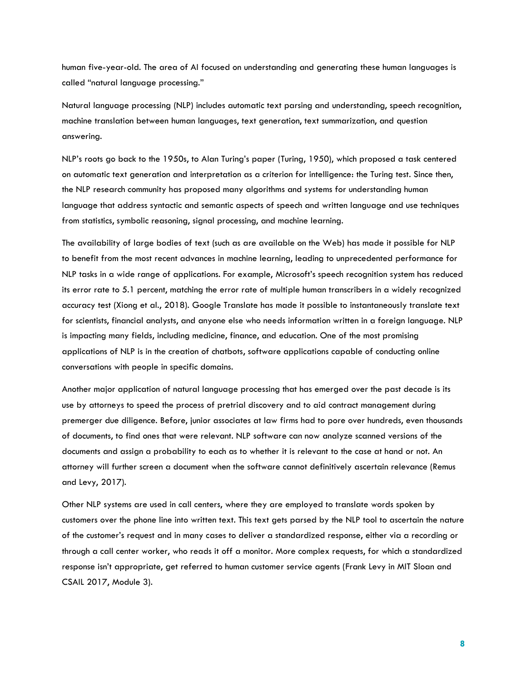human five-year-old. The area of AI focused on understanding and generating these human languages is called "natural language processing."

Natural language processing (NLP) includes automatic text parsing and understanding, speech recognition, machine translation between human languages, text generation, text summarization, and question answering.

NLP's roots go back to the 1950s, to Alan Turing's paper (Turing, 1950), which proposed a task centered on automatic text generation and interpretation as a criterion for intelligence: the Turing test. Since then, the NLP research community has proposed many algorithms and systems for understanding human language that address syntactic and semantic aspects of speech and written language and use techniques from statistics, symbolic reasoning, signal processing, and machine learning.

The availability of large bodies of text (such as are available on the Web) has made it possible for NLP to benefit from the most recent advances in machine learning, leading to unprecedented performance for NLP tasks in a wide range of applications. For example, Microsoft's speech recognition system has reduced its error rate to 5.1 percent, matching the error rate of multiple human transcribers in a widely recognized accuracy test (Xiong et al., 2018). Google Translate has made it possible to instantaneously translate text for scientists, financial analysts, and anyone else who needs information written in a foreign language. NLP is impacting many fields, including medicine, finance, and education. One of the most promising applications of NLP is in the creation of chatbots, software applications capable of conducting online conversations with people in specific domains.

Another major application of natural language processing that has emerged over the past decade is its use by attorneys to speed the process of pretrial discovery and to aid contract management during premerger due diligence. Before, junior associates at law firms had to pore over hundreds, even thousands of documents, to find ones that were relevant. NLP software can now analyze scanned versions of the documents and assign a probability to each as to whether it is relevant to the case at hand or not. An attorney will further screen a document when the software cannot definitively ascertain relevance (Remus and Levy, 2017).

Other NLP systems are used in call centers, where they are employed to translate words spoken by customers over the phone line into written text. This text gets parsed by the NLP tool to ascertain the nature of the customer's request and in many cases to deliver a standardized response, either via a recording or through a call center worker, who reads it off a monitor. More complex requests, for which a standardized response isn't appropriate, get referred to human customer service agents (Frank Levy in MIT Sloan and CSAIL 2017, Module 3).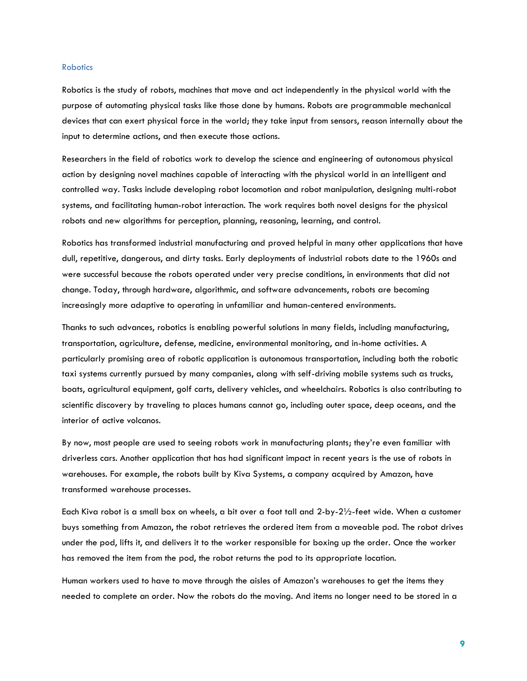#### **Robotics**

Robotics is the study of robots, machines that move and act independently in the physical world with the purpose of automating physical tasks like those done by humans. Robots are programmable mechanical devices that can exert physical force in the world; they take input from sensors, reason internally about the input to determine actions, and then execute those actions.

Researchers in the field of robotics work to develop the science and engineering of autonomous physical action by designing novel machines capable of interacting with the physical world in an intelligent and controlled way. Tasks include developing robot locomotion and robot manipulation, designing multi-robot systems, and facilitating human-robot interaction. The work requires both novel designs for the physical robots and new algorithms for perception, planning, reasoning, learning, and control.

Robotics has transformed industrial manufacturing and proved helpful in many other applications that have dull, repetitive, dangerous, and dirty tasks. Early deployments of industrial robots date to the 1960s and were successful because the robots operated under very precise conditions, in environments that did not change. Today, through hardware, algorithmic, and software advancements, robots are becoming increasingly more adaptive to operating in unfamiliar and human-centered environments.

Thanks to such advances, robotics is enabling powerful solutions in many fields, including manufacturing, transportation, agriculture, defense, medicine, environmental monitoring, and in-home activities. A particularly promising area of robotic application is autonomous transportation, including both the robotic taxi systems currently pursued by many companies, along with self-driving mobile systems such as trucks, boats, agricultural equipment, golf carts, delivery vehicles, and wheelchairs. Robotics is also contributing to scientific discovery by traveling to places humans cannot go, including outer space, deep oceans, and the interior of active volcanos.

By now, most people are used to seeing robots work in manufacturing plants; they're even familiar with driverless cars. Another application that has had significant impact in recent years is the use of robots in warehouses. For example, the robots built by Kiva Systems, a company acquired by Amazon, have transformed warehouse processes.

Each Kiva robot is a small box on wheels, a bit over a foot tall and 2-by-2½-feet wide. When a customer buys something from Amazon, the robot retrieves the ordered item from a moveable pod. The robot drives under the pod, lifts it, and delivers it to the worker responsible for boxing up the order. Once the worker has removed the item from the pod, the robot returns the pod to its appropriate location.

Human workers used to have to move through the aisles of Amazon's warehouses to get the items they needed to complete an order. Now the robots do the moving. And items no longer need to be stored in a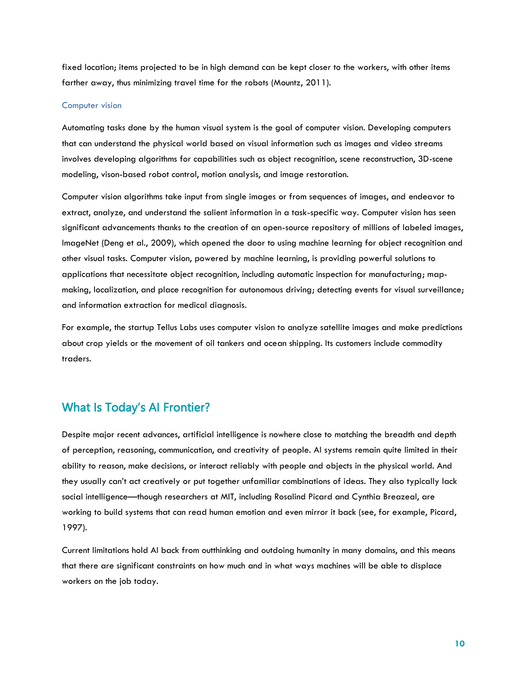fixed location; items projected to be in high demand can be kept closer to the workers, with other items farther away, thus minimizing travel time for the robots (Mountz, 2011).

#### Computer vision

Automating tasks done by the human visual system is the goal of computer vision. Developing computers that can understand the physical world based on visual information such as images and video streams involves developing algorithms for capabilities such as object recognition, scene reconstruction, 3D-scene modeling, vison-based robot control, motion analysis, and image restoration.

Computer vision algorithms take input from single images or from sequences of images, and endeavor to extract, analyze, and understand the salient information in a task-specific way. Computer vision has seen significant advancements thanks to the creation of an open-source repository of millions of labeled images, ImageNet (Deng et al., 2009), which opened the door to using machine learning for object recognition and other visual tasks. Computer vision, powered by machine learning, is providing powerful solutions to applications that necessitate object recognition, including automatic inspection for manufacturing; mapmaking, localization, and place recognition for autonomous driving; detecting events for visual surveillance; and information extraction for medical diagnosis.

For example, the startup Tellus Labs uses computer vision to analyze satellite images and make predictions about crop yields or the movement of oil tankers and ocean shipping. Its customers include commodity traders.

## What Is Today's AI Frontier?

Despite major recent advances, artificial intelligence is nowhere close to matching the breadth and depth of perception, reasoning, communication, and creativity of people. AI systems remain quite limited in their ability to reason, make decisions, or interact reliably with people and objects in the physical world. And they usually can't act creatively or put together unfamiliar combinations of ideas. They also typically lack social intelligence—though researchers at MIT, including Rosalind Picard and Cynthia Breazeal, are working to build systems that can read human emotion and even mirror it back (see, for example, Picard, 1997).

Current limitations hold AI back from outthinking and outdoing humanity in many domains, and this means that there are significant constraints on how much and in what ways machines will be able to displace workers on the job today.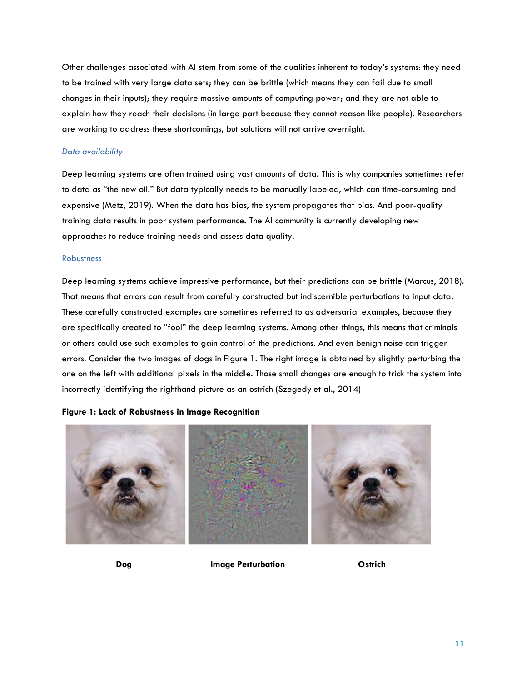Other challenges associated with AI stem from some of the qualities inherent to today's systems: they need to be trained with very large data sets; they can be brittle (which means they can fail due to small changes in their inputs); they require massive amounts of computing power; and they are not able to explain how they reach their decisions (in large part because they cannot reason like people). Researchers are working to address these shortcomings, but solutions will not arrive overnight.

#### *Data availability*

Deep learning systems are often trained using vast amounts of data. This is why companies sometimes refer to data as "the new oil." But data typically needs to be manually labeled, which can time-consuming and expensive (Metz, 2019). When the data has bias, the system propagates that bias. And poor-quality training data results in poor system performance. The AI community is currently developing new approaches to reduce training needs and assess data quality.

#### **Robustness**

Deep learning systems achieve impressive performance, but their predictions can be brittle (Marcus, 2018). That means that errors can result from carefully constructed but indiscernible perturbations to input data. These carefully constructed examples are sometimes referred to as adversarial examples, because they are specifically created to "fool" the deep learning systems. Among other things, this means that criminals or others could use such examples to gain control of the predictions. And even benign noise can trigger errors. Consider the two images of dogs in Figure 1. The right image is obtained by slightly perturbing the one on the left with additional pixels in the middle. Those small changes are enough to trick the system into incorrectly identifying the righthand picture as an ostrich (Szegedy et al., 2014)

#### **Figure 1: Lack of Robustness in Image Recognition**



 **Dog Image Perturbation Ostrich**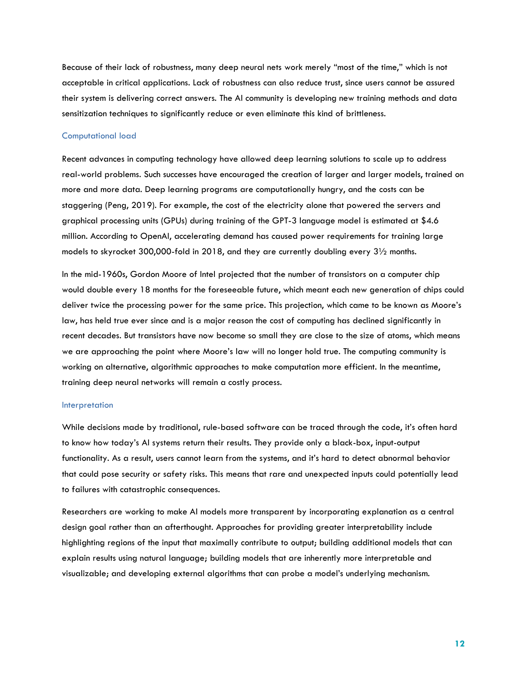Because of their lack of robustness, many deep neural nets work merely "most of the time," which is not acceptable in critical applications. Lack of robustness can also reduce trust, since users cannot be assured their system is delivering correct answers. The AI community is developing new training methods and data sensitization techniques to significantly reduce or even eliminate this kind of brittleness.

#### Computational load

Recent advances in computing technology have allowed deep learning solutions to scale up to address real-world problems. Such successes have encouraged the creation of larger and larger models, trained on more and more data. Deep learning programs are computationally hungry, and the costs can be staggering (Peng, 2019). For example, the cost of the electricity alone that powered the servers and graphical processing units (GPUs) during training of the GPT-3 language model is estimated at \$4.6 million. According to OpenAI, accelerating demand has caused power requirements for training large models to skyrocket 300,000-fold in 2018, and they are currently doubling every 3½ months.

In the mid-1960s, Gordon Moore of Intel projected that the number of transistors on a computer chip would double every 18 months for the foreseeable future, which meant each new generation of chips could deliver twice the processing power for the same price. This projection, which came to be known as Moore's law, has held true ever since and is a major reason the cost of computing has declined significantly in recent decades. But transistors have now become so small they are close to the size of atoms, which means we are approaching the point where Moore's law will no longer hold true. The computing community is working on alternative, algorithmic approaches to make computation more efficient. In the meantime, training deep neural networks will remain a costly process.

#### Interpretation

While decisions made by traditional, rule-based software can be traced through the code, it's often hard to know how today's AI systems return their results. They provide only a black-box, input-output functionality. As a result, users cannot learn from the systems, and it's hard to detect abnormal behavior that could pose security or safety risks. This means that rare and unexpected inputs could potentially lead to failures with catastrophic consequences.

Researchers are working to make AI models more transparent by incorporating explanation as a central design goal rather than an afterthought. Approaches for providing greater interpretability include highlighting regions of the input that maximally contribute to output; building additional models that can explain results using natural language; building models that are inherently more interpretable and visualizable; and developing external algorithms that can probe a model's underlying mechanism.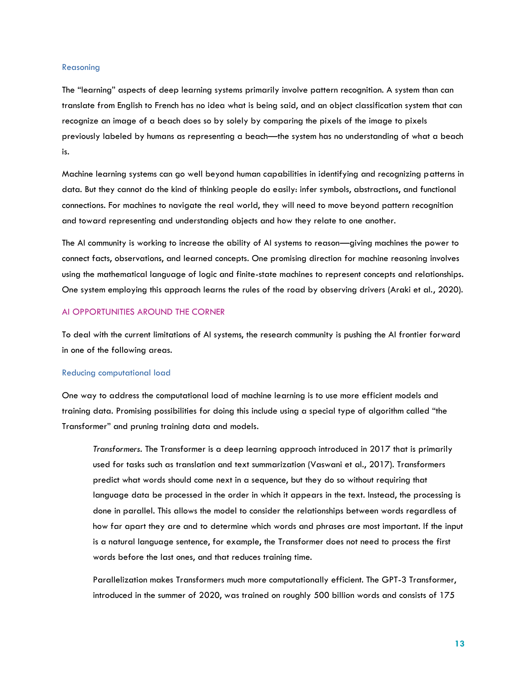#### Reasoning

The "learning" aspects of deep learning systems primarily involve pattern recognition. A system than can translate from English to French has no idea what is being said, and an object classification system that can recognize an image of a beach does so by solely by comparing the pixels of the image to pixels previously labeled by humans as representing a beach—the system has no understanding of what a beach is.

Machine learning systems can go well beyond human capabilities in identifying and recognizing patterns in data. But they cannot do the kind of thinking people do easily: infer symbols, abstractions, and functional connections. For machines to navigate the real world, they will need to move beyond pattern recognition and toward representing and understanding objects and how they relate to one another.

The AI community is working to increase the ability of AI systems to reason—giving machines the power to connect facts, observations, and learned concepts. One promising direction for machine reasoning involves using the mathematical language of logic and finite-state machines to represent concepts and relationships. One system employing this approach learns the rules of the road by observing drivers (Araki et al., 2020).

#### AI OPPORTUNITIES AROUND THE CORNER

To deal with the current limitations of AI systems, the research community is pushing the AI frontier forward in one of the following areas.

#### Reducing computational load

One way to address the computational load of machine learning is to use more efficient models and training data. Promising possibilities for doing this include using a special type of algorithm called "the Transformer" and pruning training data and models.

*Transformers.* The Transformer is a [deep learning](https://en.wikipedia.org/wiki/Deep_learning) approach introduced in 2017 that is primarily used for tasks such as [translation](https://en.wikipedia.org/wiki/Statistical_machine_translation) and text summarization (Vaswani et al., 2017). Transformers predict what words should come next in a sequence, but they do so without requiring that language data be processed in the order in which it appears in the text. Instead, the processing is done in parallel. This allows the model to consider the relationships between words regardless of how far apart they are and to determine which words and phrases are most important. If the input is a natural language sentence, for example, the Transformer does not need to process the first words before the last ones, and that reduces training time.

Parallelization makes Transformers much more computationally efficient. The GPT-3 Transformer, introduced in the summer of 2020, was trained on roughly 500 billion words and consists of 175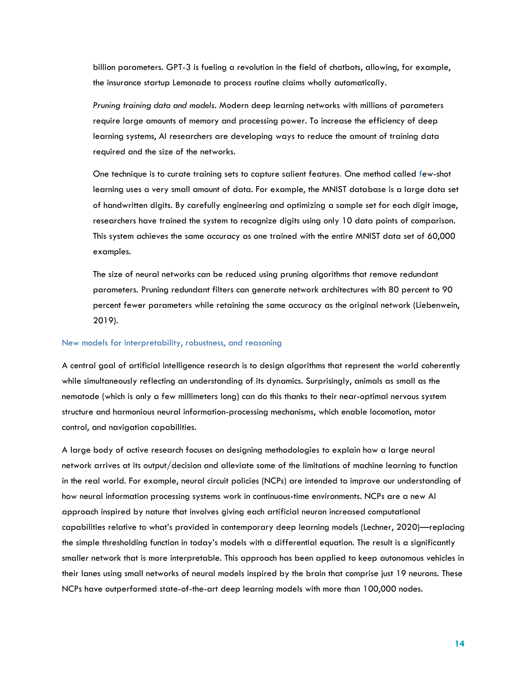billion parameters. GPT-3 is fueling a revolution in the field of chatbots, allowing, for example, the insurance startup Lemonade to process routine claims wholly automatically.

*Pruning training data and models*. Modern deep learning networks with millions of parameters require large amounts of memory and processing power. To increase the efficiency of deep learning systems, AI researchers are developing ways to reduce the amount of training data required and the size of the networks.

One technique is to curate training sets to capture salient features. One method called few-shot learning uses a very small amount of data. For example, the MNIST database is a large data set of handwritten digits. By carefully engineering and optimizing a sample set for each digit image, researchers have trained the system to recognize digits using only 10 data points of comparison. This system achieves the same accuracy as one trained with the entire MNIST data set of 60,000 examples.

The size of neural networks can be reduced using pruning algorithms that remove redundant parameters. Pruning redundant filters can generate network architectures with 80 percent to 90 percent fewer parameters while retaining the same accuracy as the original network (Liebenwein, 2019).

#### New models for interpretability, robustness, and reasoning

A central goal of artificial intelligence research is to design algorithms that represent the world coherently while simultaneously reflecting an understanding of its dynamics. Surprisingly, animals as small as the nematode (which is only a few millimeters long) can do this thanks to their near-optimal nervous system structure and harmonious neural information-processing mechanisms, which enable locomotion, motor control, and navigation capabilities.

A large body of active research focuses on designing methodologies to explain how a large neural network arrives at its output/decision and alleviate some of the limitations of machine learning to function in the real world. For example, neural circuit policies (NCPs) are intended to improve our understanding of how neural information processing systems work in continuous-time environments. NCPs are a new AI approach inspired by nature that involves giving each artificial neuron increased computational capabilities relative to what's provided in contemporary deep learning models (Lechner, 2020)—replacing the simple thresholding function in today's models with a differential equation. The result is a significantly smaller network that is more interpretable. This approach has been applied to keep autonomous vehicles in their lanes using small networks of neural models inspired by the brain that comprise just 19 neurons. These NCPs have outperformed state-of-the-art deep learning models with more than 100,000 nodes.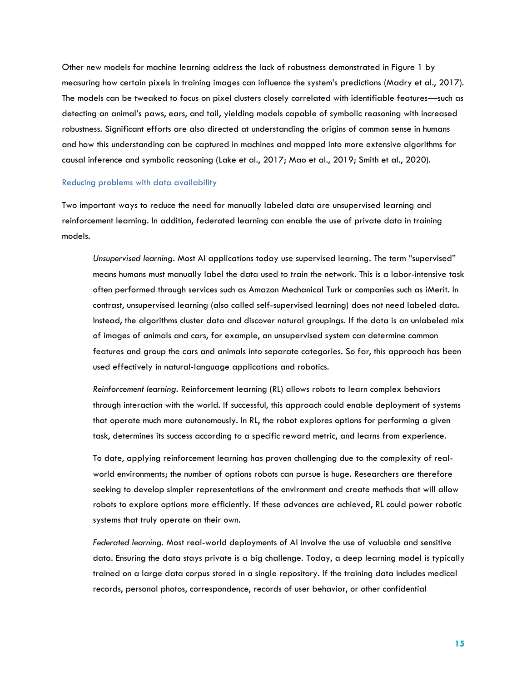Other new models for machine learning address the lack of robustness demonstrated in Figure 1 by measuring how certain pixels in training images can influence the system's predictions (Madry et al., 2017). The models can be tweaked to focus on pixel clusters closely correlated with identifiable features—such as detecting an animal's paws, ears, and tail, yielding models capable of symbolic reasoning with increased robustness. Significant efforts are also directed at understanding the origins of common sense in humans and how this understanding can be captured in machines and mapped into more extensive algorithms for causal inference and symbolic reasoning (Lake et al., 2017; Mao et al., 2019; Smith et al., 2020).

#### Reducing problems with data availability

Two important ways to reduce the need for manually labeled data are unsupervised learning and reinforcement learning. In addition, federated learning can enable the use of private data in training models.

*Unsupervised learning*. Most AI applications today use supervised learning. The term "supervised" means humans must manually label the data used to train the network. This is a labor-intensive task often performed through services such as Amazon Mechanical Turk or companies such as iMerit. In contrast, unsupervised learning (also called self-supervised learning) does not need labeled data. Instead, the algorithms cluster data and discover natural groupings. If the data is an unlabeled mix of images of animals and cars, for example, an unsupervised system can determine common features and group the cars and animals into separate categories. So far, this approach has been used effectively in natural-language applications and robotics.

*Reinforcement learning*. Reinforcement learning (RL) allows robots to learn complex behaviors through interaction with the world. If successful, this approach could enable deployment of systems that operate much more autonomously. In RL, the robot explores options for performing a given task, determines its success according to a specific reward metric, and learns from experience.

To date, applying reinforcement learning has proven challenging due to the complexity of realworld environments; the number of options robots can pursue is huge. Researchers are therefore seeking to develop simpler representations of the environment and create methods that will allow robots to explore options more efficiently. If these advances are achieved, RL could power robotic systems that truly operate on their own.

*Federated learning.* Most real-world deployments of AI involve the use of valuable and sensitive data. Ensuring the data stays private is a big challenge. Today, a deep learning model is typically trained on a large data corpus stored in a single repository. If the training data includes medical records, personal photos, correspondence, records of user behavior, or other confidential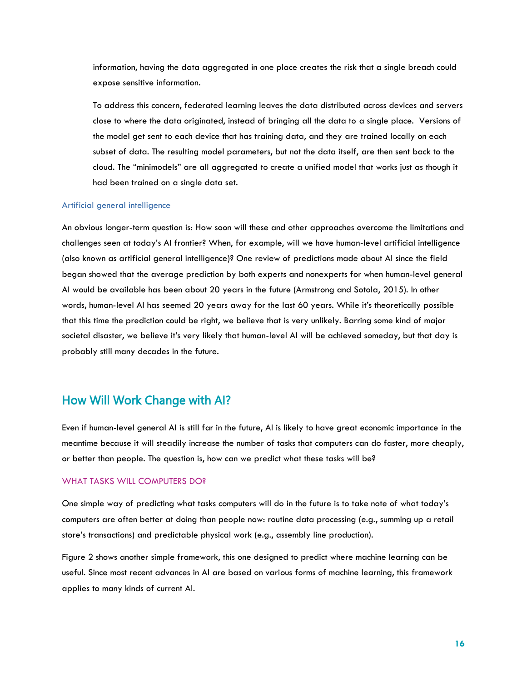information, having the data aggregated in one place creates the risk that a single breach could expose sensitive information.

To address this concern, federated learning leaves the data distributed across devices and servers close to where the data originated, instead of bringing all the data to a single place. Versions of the model get sent to each device that has training data, and they are trained locally on each subset of data. The resulting model parameters, but not the data itself, are then sent back to the cloud. The "minimodels" are all aggregated to create a unified model that works just as though it had been trained on a single data set.

#### Artificial general intelligence

An obvious longer-term question is: How soon will these and other approaches overcome the limitations and challenges seen at today's AI frontier? When, for example, will we have human-level artificial intelligence (also known as artificial general intelligence)? One review of predictions made about AI since the field began showed that the average prediction by both experts and nonexperts for when human-level general AI would be available has been about 20 years in the future (Armstrong and Sotola, 2015). In other words, human-level AI has seemed 20 years away for the last 60 years. While it's theoretically possible that this time the prediction could be right, we believe that is very unlikely. Barring some kind of major societal disaster, we believe it's very likely that human-level AI will be achieved someday, but that day is probably still many decades in the future.

## How Will Work Change with AI?

Even if human-level general AI is still far in the future, AI is likely to have great economic importance in the meantime because it will steadily increase the number of tasks that computers can do faster, more cheaply, or better than people. The question is, how can we predict what these tasks will be?

#### WHAT TASKS WILL COMPUTERS DO?

One simple way of predicting what tasks computers will do in the future is to take note of what today's computers are often better at doing than people now: routine data processing (e.g., summing up a retail store's transactions) and predictable physical work (e.g., assembly line production).

Figure 2 shows another simple framework, this one designed to predict where machine learning can be useful. Since most recent advances in AI are based on various forms of machine learning, this framework applies to many kinds of current AI.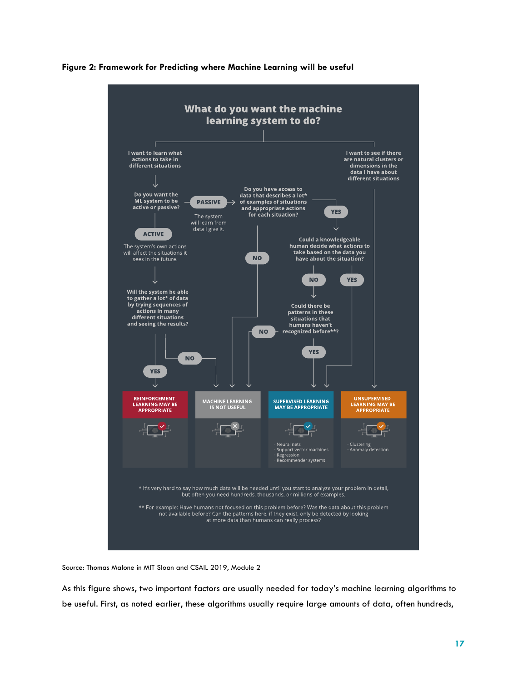



Source: Thomas Malone in MIT Sloan and CSAIL 2019, Module 2

As this figure shows, two important factors are usually needed for today's machine learning algorithms to be useful. First, as noted earlier, these algorithms usually require large amounts of data, often hundreds,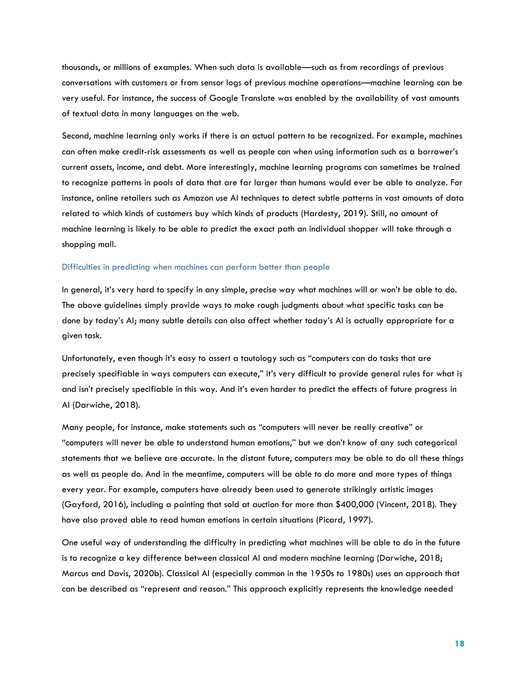thousands, or millions of examples. When such data is available—such as from recordings of previous conversations with customers or from sensor logs of previous machine operations—machine learning can be very useful. For instance, the success of Google Translate was enabled by the availability of vast amounts of textual data in many languages on the web.

Second, machine learning only works if there is an actual pattern to be recognized. For example, machines can often make credit-risk assessments as well as people can when using information such as a borrower's current assets, income, and debt. More interestingly, machine learning programs can sometimes be trained to recognize patterns in pools of data that are far larger than humans would ever be able to analyze. For instance, online retailers such as Amazon use AI techniques to detect subtle patterns in vast amounts of data related to which kinds of customers buy which kinds of products (Hardesty, 2019). Still, no amount of machine learning is likely to be able to predict the exact path an individual shopper will take through a shopping mall.

#### Difficulties in predicting when machines can perform better than people

In general, it's very hard to specify in any simple, precise way what machines will or won't be able to do. The above guidelines simply provide ways to make rough judgments about what specific tasks can be done by today's AI; many subtle details can also affect whether today's AI is actually appropriate for a given task.

Unfortunately, even though it's easy to assert a tautology such as "computers can do tasks that are precisely specifiable in ways computers can execute," it's very difficult to provide general rules for what is and isn't precisely specifiable in this way. And it's even harder to predict the effects of future progress in AI (Darwiche, 2018).

Many people, for instance, make statements such as "computers will never be really creative" or "computers will never be able to understand human emotions," but we don't know of any such categorical statements that we believe are accurate. In the distant future, computers may be able to do all these things as well as people do. And in the meantime, computers will be able to do more and more types of things every year. For example, computers have already been used to generate strikingly artistic images (Gayford, 2016), including a painting that sold at auction for more than \$400,000 (Vincent, 2018). They have also proved able to read human emotions in certain situations (Picard, 1997).

One useful way of understanding the difficulty in predicting what machines will be able to do in the future is to recognize a key difference between classical AI and modern machine learning (Darwiche, 2018; Marcus and Davis, 2020b). Classical AI (especially common in the 1950s to 1980s) uses an approach that can be described as "represent and reason." This approach explicitly represents the knowledge needed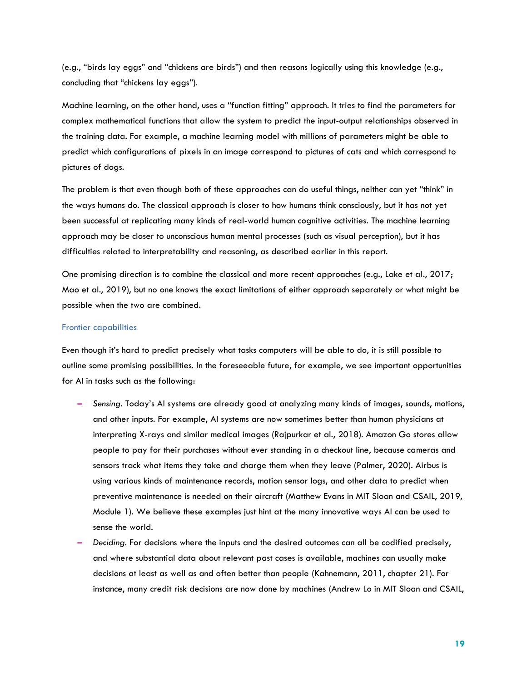(e.g., "birds lay eggs" and "chickens are birds") and then reasons logically using this knowledge (e.g., concluding that "chickens lay eggs").

Machine learning, on the other hand, uses a "function fitting" approach. It tries to find the parameters for complex mathematical functions that allow the system to predict the input-output relationships observed in the training data. For example, a machine learning model with millions of parameters might be able to predict which configurations of pixels in an image correspond to pictures of cats and which correspond to pictures of dogs.

The problem is that even though both of these approaches can do useful things, neither can yet "think" in the ways humans do. The classical approach is closer to how humans think consciously, but it has not yet been successful at replicating many kinds of real-world human cognitive activities. The machine learning approach may be closer to unconscious human mental processes (such as visual perception), but it has difficulties related to interpretability and reasoning, as described earlier in this report.

One promising direction is to combine the classical and more recent approaches (e.g., Lake et al., 2017; Mao et al., 2019), but no one knows the exact limitations of either approach separately or what might be possible when the two are combined.

#### Frontier capabilities

Even though it's hard to predict precisely what tasks computers will be able to do, it is still possible to outline some promising possibilities. In the foreseeable future, for example, we see important opportunities for AI in tasks such as the following:

- **–** *Sensing*. Today's AI systems are already good at analyzing many kinds of images, sounds, motions, and other inputs. For example, AI systems are now sometimes better than human physicians at interpreting X-rays and similar medical images (Rajpurkar et al., 2018). Amazon Go stores allow people to pay for their purchases without ever standing in a checkout line, because cameras and sensors track what items they take and charge them when they leave (Palmer, 2020). Airbus is using various kinds of maintenance records, motion sensor logs, and other data to predict when preventive maintenance is needed on their aircraft (Matthew Evans in MIT Sloan and CSAIL, 2019, Module 1). We believe these examples just hint at the many innovative ways AI can be used to sense the world.
- **–** *Deciding*. For decisions where the inputs and the desired outcomes can all be codified precisely, and where substantial data about relevant past cases is available, machines can usually make decisions at least as well as and often better than people (Kahnemann, 2011, chapter 21). For instance, many credit risk decisions are now done by machines (Andrew Lo in MIT Sloan and CSAIL,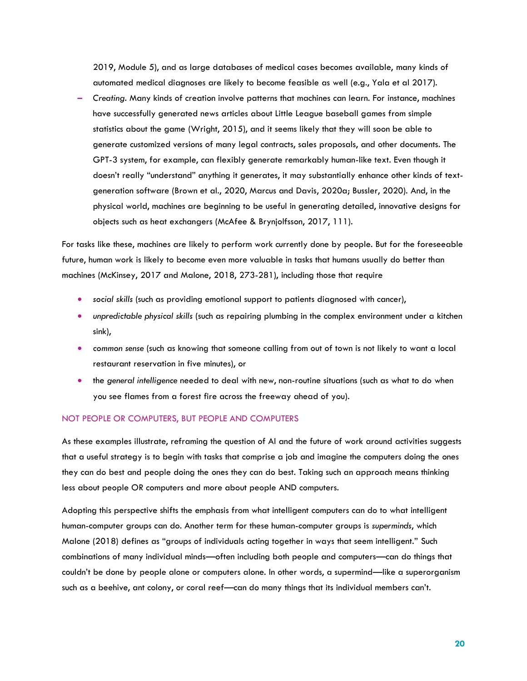2019, Module 5), and as large databases of medical cases becomes available, many kinds of automated medical diagnoses are likely to become feasible as well (e.g., Yala et al 2017).

**–** *Creating*. Many kinds of creation involve patterns that machines can learn. For instance, machines have successfully generated news articles about Little League baseball games from simple statistics about the game (Wright, 2015), and it seems likely that they will soon be able to generate customized versions of many legal contracts, sales proposals, and other documents. The GPT-3 system, for example, can flexibly generate remarkably human-like text. Even though it doesn't really "understand" anything it generates, it may substantially enhance other kinds of textgeneration software (Brown et al., 2020, Marcus and Davis, 2020a; Bussler, 2020). And, in the physical world, machines are beginning to be useful in generating detailed, innovative designs for objects such as heat exchangers (McAfee & Brynjolfsson, 2017, 111).

For tasks like these, machines are likely to perform work currently done by people. But for the foreseeable future, human work is likely to become even more valuable in tasks that humans usually do better than machines (McKinsey, 2017 and Malone, 2018, 273-281), including those that require

- *social skills* (such as providing emotional support to patients diagnosed with cancer),
- *unpredictable physical skills* (such as repairing plumbing in the complex environment under a kitchen sink),
- *common sense* (such as knowing that someone calling from out of town is not likely to want a local restaurant reservation in five minutes), or
- the *general intelligence* needed to deal with new, non-routine situations (such as what to do when you see flames from a forest fire across the freeway ahead of you).

#### NOT PEOPLE OR COMPUTERS, BUT PEOPLE AND COMPUTERS

As these examples illustrate, reframing the question of AI and the future of work around activities suggests that a useful strategy is to begin with tasks that comprise a job and imagine the computers doing the ones they can do best and people doing the ones they can do best. Taking such an approach means thinking less about people OR computers and more about people AND computers.

Adopting this perspective shifts the emphasis from what intelligent computers can do to what intelligent human-computer groups can do. Another term for these human-computer groups is *superminds*, which Malone (2018) defines as "groups of individuals acting together in ways that seem intelligent." Such combinations of many individual minds—often including both people and computers—can do things that couldn't be done by people alone or computers alone. In other words, a supermind—like a superorganism such as a beehive, ant colony, or coral reef—can do many things that its individual members can't.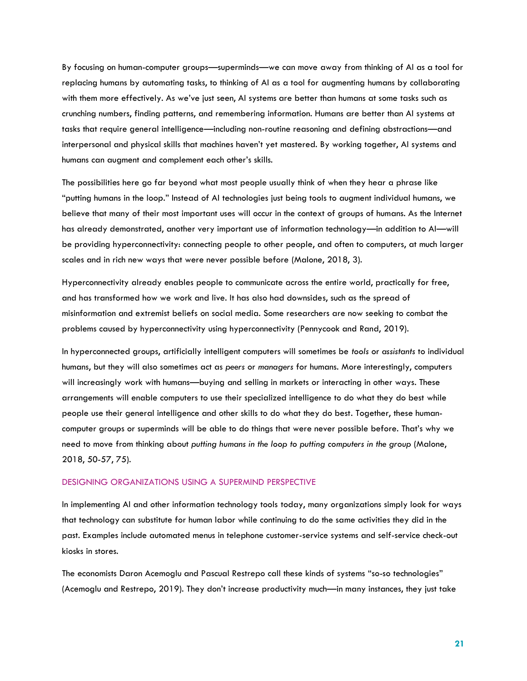By focusing on human-computer groups—superminds—we can move away from thinking of AI as a tool for replacing humans by automating tasks, to thinking of AI as a tool for augmenting humans by collaborating with them more effectively. As we've just seen, AI systems are better than humans at some tasks such as crunching numbers, finding patterns, and remembering information. Humans are better than AI systems at tasks that require general intelligence—including non-routine reasoning and defining abstractions—and interpersonal and physical skills that machines haven't yet mastered. By working together, AI systems and humans can augment and complement each other's skills.

The possibilities here go far beyond what most people usually think of when they hear a phrase like "putting humans in the loop." Instead of AI technologies just being tools to augment individual humans, we believe that many of their most important uses will occur in the context of groups of humans. As the Internet has already demonstrated, another very important use of information technology—in addition to AI—will be providing hyperconnectivity: connecting people to other people, and often to computers, at much larger scales and in rich new ways that were never possible before (Malone, 2018, 3).

Hyperconnectivity already enables people to communicate across the entire world, practically for free, and has transformed how we work and live. It has also had downsides, such as the spread of misinformation and extremist beliefs on social media. Some researchers are now seeking to combat the problems caused by hyperconnectivity using hyperconnectivity (Pennycook and Rand, 2019).

In hyperconnected groups, artificially intelligent computers will sometimes be *tools* or *assistants* to individual humans, but they will also sometimes act as *peers* or *managers* for humans. More interestingly, computers will increasingly work with humans—buying and selling in markets or interacting in other ways. These arrangements will enable computers to use their specialized intelligence to do what they do best while people use their general intelligence and other skills to do what they do best. Together, these humancomputer groups or superminds will be able to do things that were never possible before. That's why we need to move from thinking about *putting humans in the loop to putting computers in the group* (Malone, 2018, 50-57, 75).

#### DESIGNING ORGANIZATIONS USING A SUPERMIND PERSPECTIVE

In implementing AI and other information technology tools today, many organizations simply look for ways that technology can substitute for human labor while continuing to do the same activities they did in the past. Examples include automated menus in telephone customer-service systems and self-service check-out kiosks in stores.

The economists Daron Acemoglu and Pascual Restrepo call these kinds of systems "so-so technologies" (Acemoglu and Restrepo, 2019). They don't increase productivity much—in many instances, they just take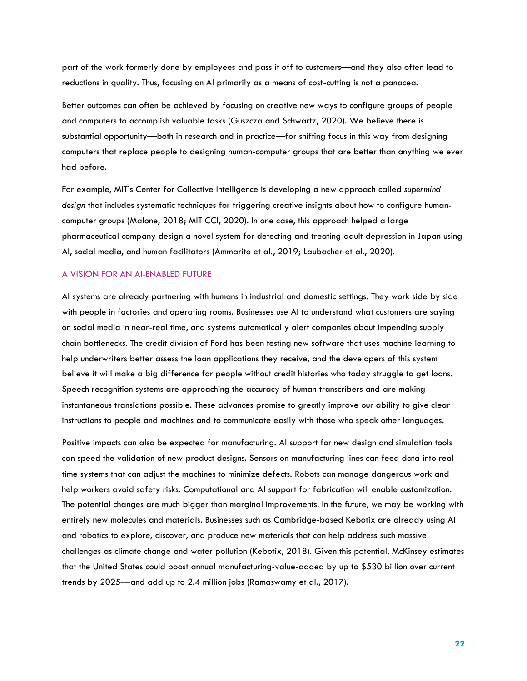part of the work formerly done by employees and pass it off to customers—and they also often lead to reductions in quality. Thus, focusing on AI primarily as a means of cost-cutting is not a panacea.

Better outcomes can often be achieved by focusing on creative new ways to configure groups of people and computers to accomplish valuable tasks (Guszcza and Schwartz, 2020). We believe there is substantial opportunity—both in research and in practice—for shifting focus in this way from designing computers that replace people to designing human-computer groups that are better than anything we ever had before.

For example, MIT's Center for Collective Intelligence is developing a new approach called *supermind design* that includes systematic techniques for triggering creative insights about how to configure humancomputer groups (Malone, 2018; MIT CCI, 2020). In one case, this approach helped a large pharmaceutical company design a novel system for detecting and treating adult depression in Japan using AI, social media, and human facilitators (Ammarito et al., 2019; Laubacher et al., 2020).

#### A VISION FOR AN AI-ENABLED FUTURE

AI systems are already partnering with humans in industrial and domestic settings. They work side by side with people in factories and operating rooms. Businesses use AI to understand what customers are saying on social media in near-real time, and systems automatically alert companies about impending supply chain bottlenecks. The credit division of Ford has been testing new software that uses machine learning to help underwriters better assess the loan applications they receive, and the developers of this system believe it will make a big difference for people without credit histories who today struggle to get loans. Speech recognition systems are approaching the accuracy of human transcribers and are making instantaneous translations possible. These advances promise to greatly improve our ability to give clear instructions to people and machines and to communicate easily with those who speak other languages.

Positive impacts can also be expected for manufacturing. AI support for new design and simulation tools can speed the validation of new product designs. Sensors on manufacturing lines can feed data into realtime systems that can adjust the machines to minimize defects. Robots can manage dangerous work and help workers avoid safety risks. Computational and AI support for fabrication will enable customization. The potential changes are much bigger than marginal improvements. In the future, we may be working with entirely new molecules and materials. Businesses such as Cambridge-based Kebotix are already using AI and robotics to explore, discover, and produce new materials that can help address such massive challenges as climate change and water pollution (Kebotix, 2018). Given this potential, McKinsey estimates that the United States could boost annual manufacturing-value-added by up to \$530 billion over current trends by 2025—and add up to 2.4 million jobs (Ramaswamy et al., 2017).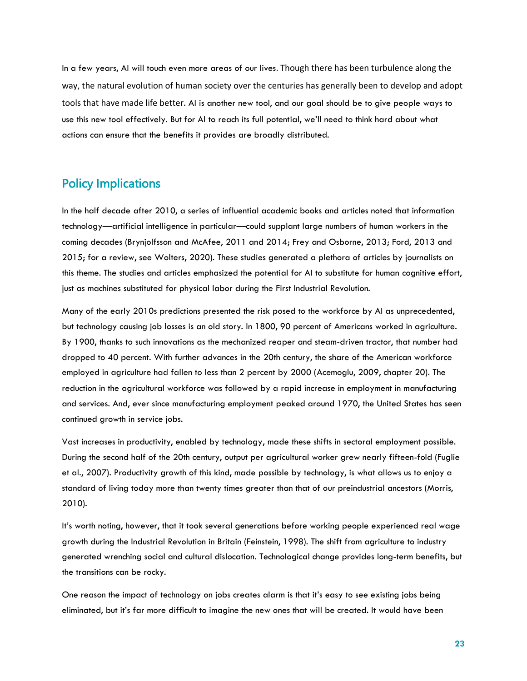In a few years, AI will touch even more areas of our lives. Though there has been turbulence along the way, the natural evolution of human society over the centuries has generally been to develop and adopt tools that have made life better. AI is another new tool, and our goal should be to give people ways to use this new tool effectively. But for AI to reach its full potential, we'll need to think hard about what actions can ensure that the benefits it provides are broadly distributed.

## Policy Implications

In the half decade after 2010, a series of influential academic books and articles noted that information technology—artificial intelligence in particular—could supplant large numbers of human workers in the coming decades (Brynjolfsson and McAfee, 2011 and 2014; Frey and Osborne, 2013; Ford, 2013 and 2015; for a review, see Wolters, 2020). These studies generated a plethora of articles by journalists on this theme. The studies and articles emphasized the potential for AI to substitute for human cognitive effort, just as machines substituted for physical labor during the First Industrial Revolution.

Many of the early 2010s predictions presented the risk posed to the workforce by AI as unprecedented, but technology causing job losses is an old story. In 1800, 90 percent of Americans worked in agriculture. By 1900, thanks to such innovations as the mechanized reaper and steam-driven tractor, that number had dropped to 40 percent. With further advances in the 20th century, the share of the American workforce employed in agriculture had fallen to less than 2 percent by 2000 (Acemoglu, 2009, chapter 20). The reduction in the agricultural workforce was followed by a rapid increase in employment in manufacturing and services. And, ever since manufacturing employment peaked around 1970, the United States has seen continued growth in service jobs.

Vast increases in productivity, enabled by technology, made these shifts in sectoral employment possible. During the second half of the 20th century, output per agricultural worker grew nearly fifteen-fold (Fuglie et al., 2007). Productivity growth of this kind, made possible by technology, is what allows us to enjoy a standard of living today more than twenty times greater than that of our preindustrial ancestors (Morris, 2010).

It's worth noting, however, that it took several generations before working people experienced real wage growth during the Industrial Revolution in Britain (Feinstein, 1998). The shift from agriculture to industry generated wrenching social and cultural dislocation. Technological change provides long-term benefits, but the transitions can be rocky.

One reason the impact of technology on jobs creates alarm is that it's easy to see existing jobs being eliminated, but it's far more difficult to imagine the new ones that will be created. It would have been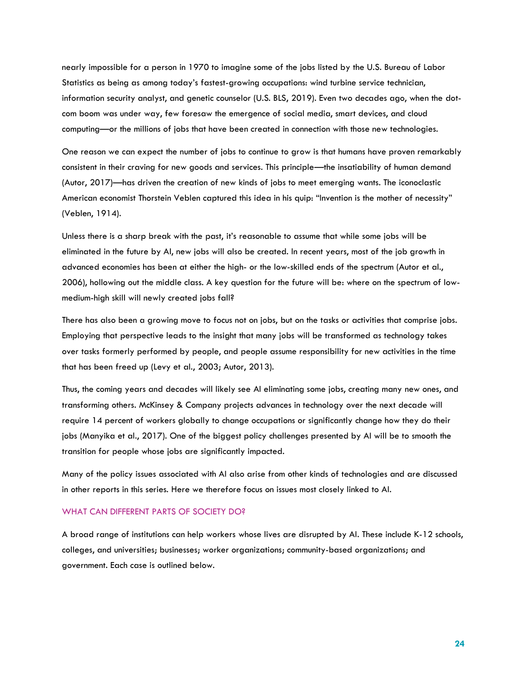nearly impossible for a person in 1970 to imagine some of the jobs listed by the U.S. Bureau of Labor Statistics as being as among today's fastest-growing occupations: wind turbine service technician, information security analyst, and genetic counselor (U.S. BLS, 2019). Even two decades ago, when the dotcom boom was under way, few foresaw the emergence of social media, smart devices, and cloud computing—or the millions of jobs that have been created in connection with those new technologies.

One reason we can expect the number of jobs to continue to grow is that humans have proven remarkably consistent in their craving for new goods and services. This principle—the insatiability of human demand (Autor, 2017)—has driven the creation of new kinds of jobs to meet emerging wants. The iconoclastic American economist Thorstein Veblen captured this idea in his quip: "Invention is the mother of necessity" (Veblen, 1914).

Unless there is a sharp break with the past, it's reasonable to assume that while some jobs will be eliminated in the future by AI, new jobs will also be created. In recent years, most of the job growth in advanced economies has been at either the high- or the low-skilled ends of the spectrum (Autor et al., 2006), hollowing out the middle class. A key question for the future will be: where on the spectrum of lowmedium-high skill will newly created jobs fall?

There has also been a growing move to focus not on jobs, but on the tasks or activities that comprise jobs. Employing that perspective leads to the insight that many jobs will be transformed as technology takes over tasks formerly performed by people, and people assume responsibility for new activities in the time that has been freed up (Levy et al., 2003; Autor, 2013).

Thus, the coming years and decades will likely see AI eliminating some jobs, creating many new ones, and transforming others. McKinsey & Company projects advances in technology over the next decade will require 14 percent of workers globally to change occupations or significantly change how they do their jobs (Manyika et al., 2017). One of the biggest policy challenges presented by AI will be to smooth the transition for people whose jobs are significantly impacted.

Many of the policy issues associated with AI also arise from other kinds of technologies and are discussed in other reports in this series. Here we therefore focus on issues most closely linked to AI.

#### WHAT CAN DIFFERENT PARTS OF SOCIETY DO?

A broad range of institutions can help workers whose lives are disrupted by AI. These include K-12 schools, colleges, and universities; businesses; worker organizations; community-based organizations; and government. Each case is outlined below.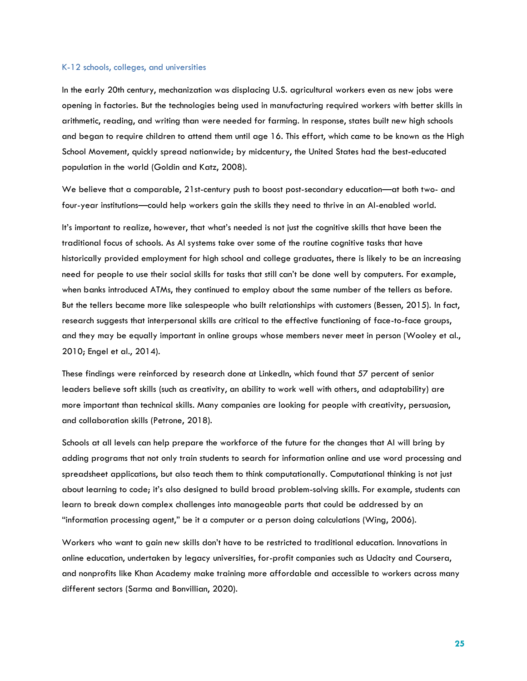#### K-12 schools, colleges, and universities

In the early 20th century, mechanization was displacing U.S. agricultural workers even as new jobs were opening in factories. But the technologies being used in manufacturing required workers with better skills in arithmetic, reading, and writing than were needed for farming. In response, states built new high schools and began to require children to attend them until age 16. This effort, which came to be known as the High School Movement, quickly spread nationwide; by midcentury, the United States had the best-educated population in the world (Goldin and Katz, 2008).

We believe that a comparable, 21st-century push to boost post-secondary education—at both two- and four-year institutions—could help workers gain the skills they need to thrive in an AI-enabled world.

It's important to realize, however, that what's needed is not just the cognitive skills that have been the traditional focus of schools. As AI systems take over some of the routine cognitive tasks that have historically provided employment for high school and college graduates, there is likely to be an increasing need for people to use their social skills for tasks that still can't be done well by computers. For example, when banks introduced ATMs, they continued to employ about the same number of the tellers as before. But the tellers became more like salespeople who built relationships with customers (Bessen, 2015). In fact, research suggests that interpersonal skills are critical to the effective functioning of face-to-face groups, and they may be equally important in online groups whose members never meet in person (Wooley et al., 2010; Engel et al., 2014).

These findings were reinforced by research done at LinkedIn, which found that 57 percent of senior leaders believe soft skills (such as creativity, an ability to work well with others, and adaptability) are more important than technical skills. Many companies are looking for people with creativity, persuasion, and collaboration skills (Petrone, 2018).

Schools at all levels can help prepare the workforce of the future for the changes that AI will bring by adding programs that not only train students to search for information online and use word processing and spreadsheet applications, but also teach them to think computationally. Computational thinking is not just about learning to code; it's also designed to build broad problem-solving skills. For example, students can learn to break down complex challenges into manageable parts that could be addressed by an "information processing agent," be it a computer or a person doing calculations (Wing, 2006).

Workers who want to gain new skills don't have to be restricted to traditional education. Innovations in online education, undertaken by legacy universities, for-profit companies such as Udacity and Coursera, and nonprofits like Khan Academy make training more affordable and accessible to workers across many different sectors (Sarma and Bonvillian, 2020).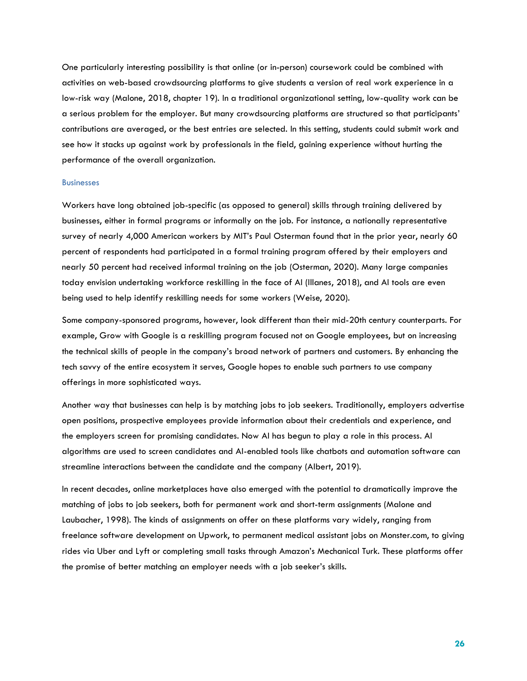One particularly interesting possibility is that online (or in-person) coursework could be combined with activities on web-based crowdsourcing platforms to give students a version of real work experience in a low-risk way (Malone, 2018, chapter 19). In a traditional organizational setting, low-quality work can be a serious problem for the employer. But many crowdsourcing platforms are structured so that participants' contributions are averaged, or the best entries are selected. In this setting, students could submit work and see how it stacks up against work by professionals in the field, gaining experience without hurting the performance of the overall organization.

#### **Businesses**

Workers have long obtained job-specific (as opposed to general) skills through training delivered by businesses, either in formal programs or informally on the job. For instance, a nationally representative survey of nearly 4,000 American workers by MIT's Paul Osterman found that in the prior year, nearly 60 percent of respondents had participated in a formal training program offered by their employers and nearly 50 percent had received informal training on the job (Osterman, 2020). Many large companies today envision undertaking workforce reskilling in the face of AI (Illanes, 2018), and AI tools are even being used to help identify reskilling needs for some workers (Weise, 2020).

Some company-sponsored programs, however, look different than their mid-20th century counterparts. For example, Grow with Google is a reskilling program focused not on Google employees, but on increasing the technical skills of people in the company's broad network of partners and customers. By enhancing the tech savvy of the entire ecosystem it serves, Google hopes to enable such partners to use company offerings in more sophisticated ways.

Another way that businesses can help is by matching jobs to job seekers. Traditionally, employers advertise open positions, prospective employees provide information about their credentials and experience, and the employers screen for promising candidates. Now AI has begun to play a role in this process. AI algorithms are used to screen candidates and AI-enabled tools like chatbots and automation software can streamline interactions between the candidate and the company (Albert, 2019).

In recent decades, online marketplaces have also emerged with the potential to dramatically improve the matching of jobs to job seekers, both for permanent work and short-term assignments (Malone and Laubacher, 1998). The kinds of assignments on offer on these platforms vary widely, ranging from freelance software development on Upwork, to permanent medical assistant jobs on Monster.com, to giving rides via Uber and Lyft or completing small tasks through Amazon's Mechanical Turk. These platforms offer the promise of better matching an employer needs with a job seeker's skills.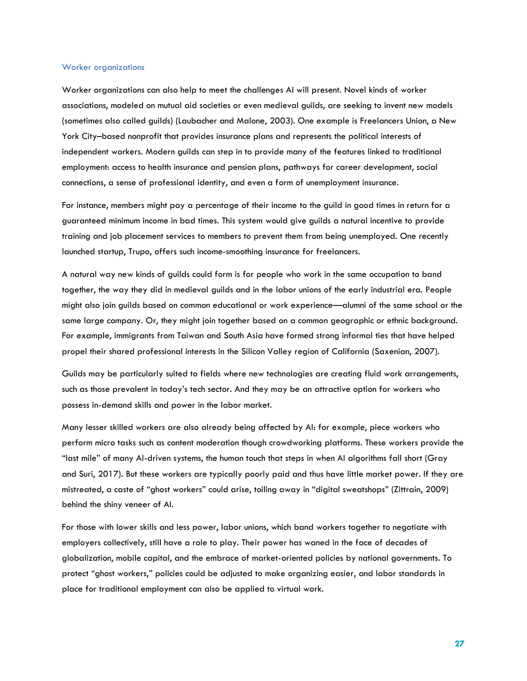#### Worker organizations

Worker organizations can also help to meet the challenges AI will present. Novel kinds of worker associations, modeled on mutual aid societies or even medieval guilds, are seeking to invent new models (sometimes also called guilds) (Laubacher and Malone, 2003). One example is Freelancers Union, a New York City–based nonprofit that provides insurance plans and represents the political interests of independent workers. Modern guilds can step in to provide many of the features linked to traditional employment: access to health insurance and pension plans, pathways for career development, social connections, a sense of professional identity, and even a form of unemployment insurance.

For instance, members might pay a percentage of their income to the guild in good times in return for a guaranteed minimum income in bad times. This system would give guilds a natural incentive to provide training and job placement services to members to prevent them from being unemployed. One recently launched startup, Trupo, offers such income-smoothing insurance for freelancers.

A natural way new kinds of guilds could form is for people who work in the same occupation to band together, the way they did in medieval guilds and in the labor unions of the early industrial era. People might also join guilds based on common educational or work experience—alumni of the same school or the same large company. Or, they might join together based on a common geographic or ethnic background. For example, immigrants from Taiwan and South Asia have formed strong informal ties that have helped propel their shared professional interests in the Silicon Valley region of California (Saxenian, 2007).

Guilds may be particularly suited to fields where new technologies are creating fluid work arrangements, such as those prevalent in today's tech sector. And they may be an attractive option for workers who possess in-demand skills and power in the labor market.

Many lesser skilled workers are also already being affected by AI: for example, piece workers who perform micro tasks such as content moderation though crowdworking platforms. These workers provide the "last mile" of many AI-driven systems, the human touch that steps in when AI algorithms fall short (Gray and Suri, 2017). But these workers are typically poorly paid and thus have little market power. If they are mistreated, a caste of "ghost workers" could arise, toiling away in "digital sweatshops" (Zittrain, 2009) behind the shiny veneer of AI.

For those with lower skills and less power, labor unions, which band workers together to negotiate with employers collectively, still have a role to play. Their power has waned in the face of decades of globalization, mobile capital, and the embrace of market-oriented policies by national governments. To protect "ghost workers," policies could be adjusted to make organizing easier, and labor standards in place for traditional employment can also be applied to virtual work.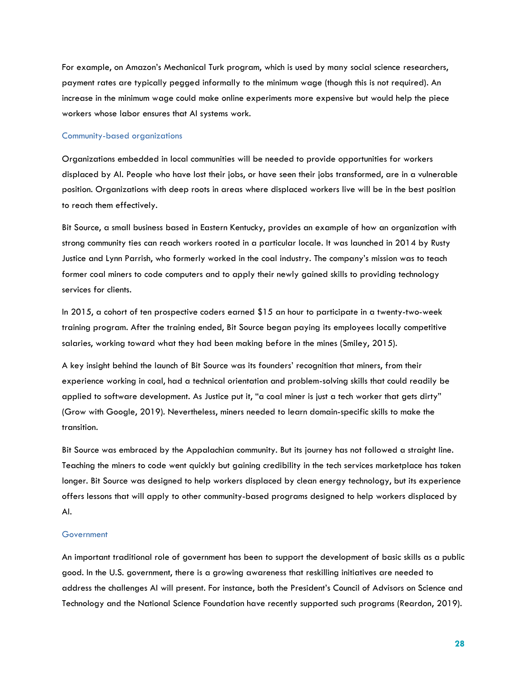For example, on Amazon's Mechanical Turk program, which is used by many social science researchers, payment rates are typically pegged informally to the minimum wage (though this is not required). An increase in the minimum wage could make online experiments more expensive but would help the piece workers whose labor ensures that AI systems work.

#### Community-based organizations

Organizations embedded in local communities will be needed to provide opportunities for workers displaced by AI. People who have lost their jobs, or have seen their jobs transformed, are in a vulnerable position. Organizations with deep roots in areas where displaced workers live will be in the best position to reach them effectively.

Bit Source, a small business based in Eastern Kentucky, provides an example of how an organization with strong community ties can reach workers rooted in a particular locale. It was launched in 2014 by Rusty Justice and Lynn Parrish, who formerly worked in the coal industry. The company's mission was to teach former coal miners to code computers and to apply their newly gained skills to providing technology services for clients.

In 2015, a cohort of ten prospective coders earned \$15 an hour to participate in a twenty-two-week training program. After the training ended, Bit Source began paying its employees locally competitive salaries, working toward what they had been making before in the mines (Smiley, 2015).

A key insight behind the launch of Bit Source was its founders' recognition that miners, from their experience working in coal, had a technical orientation and problem-solving skills that could readily be applied to software development. As Justice put it, "a coal miner is just a tech worker that gets dirty" (Grow with Google, 2019). Nevertheless, miners needed to learn domain-specific skills to make the transition.

Bit Source was embraced by the Appalachian community. But its journey has not followed a straight line. Teaching the miners to code went quickly but gaining credibility in the tech services marketplace has taken longer. Bit Source was designed to help workers displaced by clean energy technology, but its experience offers lessons that will apply to other community-based programs designed to help workers displaced by AI.

#### **Government**

An important traditional role of government has been to support the development of basic skills as a public good. In the U.S. government, there is a growing awareness that reskilling initiatives are needed to address the challenges AI will present. For instance, both the President's Council of Advisors on Science and Technology and the National Science Foundation have recently supported such programs (Reardon, 2019).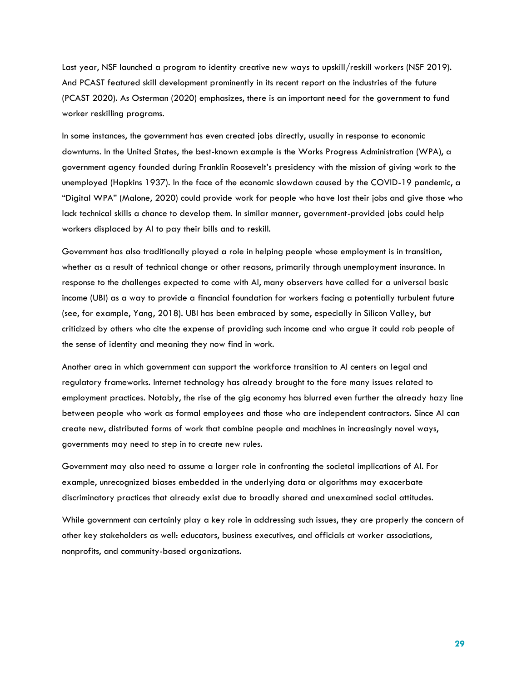Last year, NSF launched a program to identity creative new ways to upskill/reskill workers (NSF 2019). And PCAST featured skill development prominently in its recent report on the industries of the future (PCAST 2020). As Osterman (2020) emphasizes, there is an important need for the government to fund worker reskilling programs.

In some instances, the government has even created jobs directly, usually in response to economic downturns. In the United States, the best-known example is the Works Progress Administration (WPA), a government agency founded during Franklin Roosevelt's presidency with the mission of giving work to the unemployed (Hopkins 1937). In the face of the economic slowdown caused by the COVID-19 pandemic, a "Digital WPA" (Malone, 2020) could provide work for people who have lost their jobs and give those who lack technical skills a chance to develop them. In similar manner, government-provided jobs could help workers displaced by AI to pay their bills and to reskill.

Government has also traditionally played a role in helping people whose employment is in transition, whether as a result of technical change or other reasons, primarily through unemployment insurance. In response to the challenges expected to come with AI, many observers have called for a universal basic income (UBI) as a way to provide a financial foundation for workers facing a potentially turbulent future (see, for example, Yang, 2018). UBI has been embraced by some, especially in Silicon Valley, but criticized by others who cite the expense of providing such income and who argue it could rob people of the sense of identity and meaning they now find in work.

Another area in which government can support the workforce transition to AI centers on legal and regulatory frameworks. Internet technology has already brought to the fore many issues related to employment practices. Notably, the rise of the gig economy has blurred even further the already hazy line between people who work as formal employees and those who are independent contractors. Since AI can create new, distributed forms of work that combine people and machines in increasingly novel ways, governments may need to step in to create new rules.

Government may also need to assume a larger role in confronting the societal implications of AI. For example, unrecognized biases embedded in the underlying data or algorithms may exacerbate discriminatory practices that already exist due to broadly shared and unexamined social attitudes.

While government can certainly play a key role in addressing such issues, they are properly the concern of other key stakeholders as well: educators, business executives, and officials at worker associations, nonprofits, and community-based organizations.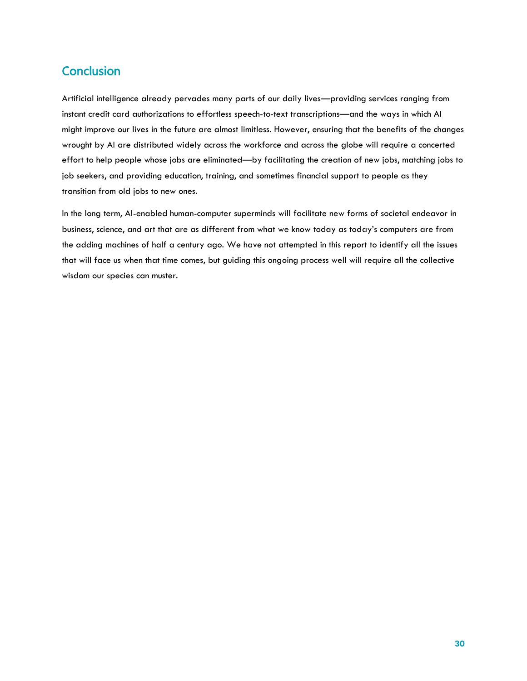## **Conclusion**

Artificial intelligence already pervades many parts of our daily lives—providing services ranging from instant credit card authorizations to effortless speech-to-text transcriptions—and the ways in which AI might improve our lives in the future are almost limitless. However, ensuring that the benefits of the changes wrought by AI are distributed widely across the workforce and across the globe will require a concerted effort to help people whose jobs are eliminated—by facilitating the creation of new jobs, matching jobs to job seekers, and providing education, training, and sometimes financial support to people as they transition from old jobs to new ones.

In the long term, AI-enabled human-computer superminds will facilitate new forms of societal endeavor in business, science, and art that are as different from what we know today as today's computers are from the adding machines of half a century ago. We have not attempted in this report to identify all the issues that will face us when that time comes, but guiding this ongoing process well will require all the collective wisdom our species can muster.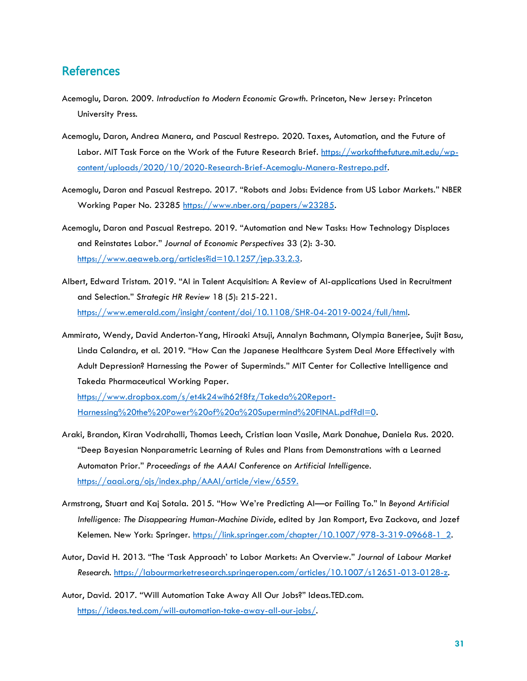## **References**

- Acemoglu, Daron. 2009. *Introduction to Modern Economic Growth*. Princeton, New Jersey: Princeton University Press.
- Acemoglu, Daron, Andrea Manera, and Pascual Restrepo. 2020. Taxes, Automation, and the Future of Labor. MIT Task Force on the Work of the Future Research Brief. [https://workofthefuture.mit.edu/wp](https://workofthefuture.mit.edu/wp-content/uploads/2020/10/2020-Research-Brief-Acemoglu-Manera-Restrepo.pdf)[content/uploads/2020/10/2020-Research-Brief-Acemoglu-Manera-Restrepo.pdf.](https://workofthefuture.mit.edu/wp-content/uploads/2020/10/2020-Research-Brief-Acemoglu-Manera-Restrepo.pdf)
- Acemoglu, Daron and Pascual Restrepo. 2017. "Robots and Jobs: Evidence from US Labor Markets." NBER Working Paper No. 23285 [https://www.nber.org/papers/w23285.](https://www.nber.org/papers/w23285)
- Acemoglu, Daron and Pascual Restrepo. 2019. "Automation and New Tasks: How Technology Displaces and Reinstates Labor." *Journal of Economic Perspectives* 33 (2): 3-30. [https://www.aeaweb.org/articles?id=10.1257/jep.33.2.3.](https://www.aeaweb.org/articles?id=10.1257/jep.33.2.3)
- Albert, Edward Tristam. 2019. "AI in Talent Acquisition: A Review of AI-applications Used in Recruitment and Selection." *Strategic HR Review* 18 (5): 215-221. [https://www.emerald.com/insight/content/doi/10.1108/SHR-04-2019-0024/full/html.](https://www.emerald.com/insight/content/doi/10.1108/SHR-04-2019-0024/full/html)
- Ammirato, Wendy, David Anderton-Yang, Hiroaki Atsuji, Annalyn Bachmann, Olympia Banerjee, Sujit Basu, Linda Calandra, et al. 2019. "How Can the Japanese Healthcare System Deal More Effectively with Adult Depression? Harnessing the Power of Superminds." MIT Center for Collective Intelligence and Takeda Pharmaceutical Working Paper.

[https://www.dropbox.com/s/et4k24wih62f8fz/Takeda%20Report-](https://www.dropbox.com/s/et4k24wih62f8fz/Takeda%20Report-Harnessing%20the%20Power%20of%20a%20Supermind%20FINAL.pdf?dl=0)[Harnessing%20the%20Power%20of%20a%20Supermind%20FINAL.pdf?dl=0.](https://www.dropbox.com/s/et4k24wih62f8fz/Takeda%20Report-Harnessing%20the%20Power%20of%20a%20Supermind%20FINAL.pdf?dl=0)

- Araki, Brandon, Kiran Vodrahalli, Thomas Leech, Cristian Ioan Vasile, Mark Donahue, Daniela Rus. 2020. "Deep Bayesian Nonparametric Learning of Rules and Plans from Demonstrations with a Learned Automaton Prior." *Proceedings of the AAAI Conference on Artificial Intelligence*. [https://aaai.org/ojs/index.php/AAAI/article/view/6559.](https://aaai.org/ojs/index.php/AAAI/article/view/6559)
- Armstrong, Stuart and Kaj Sotala. 2015. "How We're Predicting AI—or Failing To." In *Beyond Artificial Intelligence: The Disappearing Human-Machine Divide*, edited by Jan Romport, Eva Zackova, and Jozef Kelemen. New York: Springer. https://link.springer.com/chapter/10.1007/978-3-319-09668-1\_2.
- Autor, David H. 2013. "The 'Task Approach' to Labor Markets: An Overview." *Journal of Labour Market Research*. [https://labourmarketresearch.springeropen.com/articles/10.1007/s12651-013-0128-z.](https://labourmarketresearch.springeropen.com/articles/10.1007/s12651-013-0128-z)
- Autor, David. 2017. "Will Automation Take Away All Our Jobs?" Ideas.TED.com. [https://ideas.ted.com/will-automation-take-away-all-our-jobs/.](https://ideas.ted.com/will-automation-take-away-all-our-jobs/)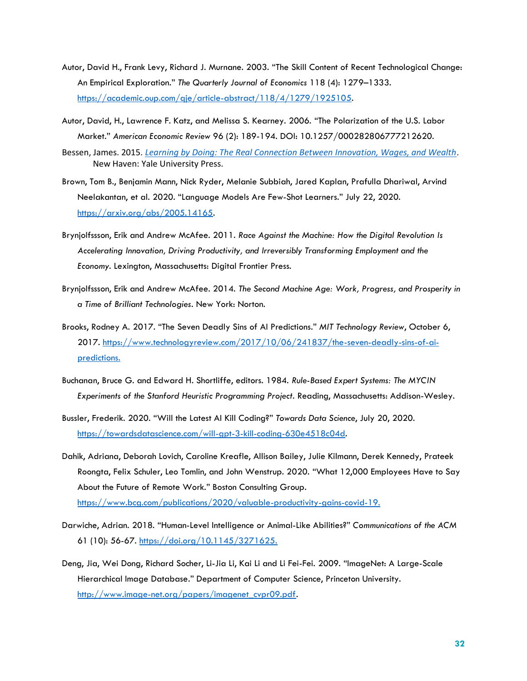- Autor, David H., Frank Levy, Richard J. Murnane. 2003. "The Skill Content of Recent Technological Change: An Empirical Exploration." *The Quarterly Journal of Economics* 118 (4): 1279–1333. [https://academic.oup.com/qje/article-abstract/118/4/1279/1925105.](https://academic.oup.com/qje/article-abstract/118/4/1279/1925105)
- Autor, David, H., Lawrence F. Katz, and Melissa S. Kearney. 2006. "The Polarization of the U.S. Labor Market." *American Economic Review* 96 (2): 189-194. DOI: 10.1257/000282806777212620.
- Bessen, James. 2015. *[Learning by Doing: The Real Connection Between Innovation, Wages, and Wealth](http://yalebooks.com/book/9780300195668/learning-doing)*. New Haven: Yale University Press.
- Brown, Tom B., Benjamin Mann, Nick Ryder, Melanie Subbiah, Jared Kaplan, Prafulla Dhariwal, Arvind Neelakantan, et al. 2020. "Language Models Are Few-Shot Learners." July 22, 2020. [https://arxiv.org/abs/2005.14165.](https://arxiv.org/abs/2005.14165)
- Brynjolfssson, Erik and Andrew McAfee. 2011. *Race Against the Machine: How the Digital Revolution Is Accelerating Innovation, Driving Productivity, and Irreversibly Transforming Employment and the Economy*. Lexington, Massachusetts: Digital Frontier Press.
- Brynjolfssson, Erik and Andrew McAfee. 2014. *The Second Machine Age: Work, Progress, and Prosperity in a Time of Brilliant Technologies*. New York: Norton.
- Brooks, Rodney A. 2017. "The Seven Deadly Sins of AI Predictions." *MIT Technology Review*, October 6, 2017. [https://www.technologyreview.com/2017/10/06/241837/the-seven-deadly-sins-of-ai](https://www.technologyreview.com/2017/10/06/241837/the-seven-deadly-sins-of-ai-predictions)[predictions.](https://www.technologyreview.com/2017/10/06/241837/the-seven-deadly-sins-of-ai-predictions)
- Buchanan, Bruce G. and Edward H. Shortliffe, editors. 1984. *Rule-Based Expert Systems: The MYCIN Experiments of the Stanford Heuristic Programming Project*. Reading, Massachusetts: Addison-Wesley.
- Bussler, Frederik. 2020. "Will the Latest AI Kill Coding?" *Towards Data Science*, July 20, 2020. [https://towardsdatascience.com/will-gpt-3-kill-coding-630e4518c04d.](https://towardsdatascience.com/will-gpt-3-kill-coding-630e4518c04d)
- Dahik, Adriana, Deborah Lovich, Caroline Kreafle, Allison Bailey, Julie Kilmann, Derek Kennedy, Prateek Roongta, Felix Schuler, Leo Tomlin, and John Wenstrup. 2020. "What 12,000 Employees Have to Say About the Future of Remote Work." Boston Consulting Group. [https://www.bcg.com/publications/2020/valuable-productivity-gains-covid-19.](https://www.bcg.com/publications/2020/valuable-productivity-gains-covid-19)
- Darwiche, Adrian. 2018. "Human-Level Intelligence or Animal-Like Abilities?" *Communications of the ACM* 61 (10): 56-67. [https://doi.org/10.1145/3271625.](https://doi.org/10.1145/3271625)
- Deng, Jia, Wei Dong, Richard Socher, Li-Jia Li, Kai Li and Li Fei-Fei. 2009. "ImageNet: A Large-Scale Hierarchical Image Database." Department of Computer Science, Princeton University. [http://www.image-net.org/papers/imagenet\\_cvpr09.pdf.](http://www.image-net.org/papers/imagenet_cvpr09.pdf)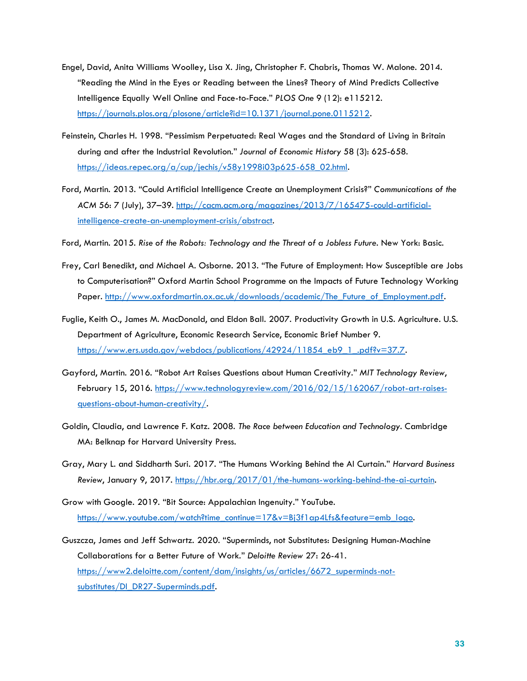- Engel, David, Anita Williams Woolley, Lisa X. Jing, Christopher F. Chabris, Thomas W. Malone. 2014. "Reading the Mind in the Eyes or Reading between the Lines? Theory of Mind Predicts Collective Intelligence Equally Well Online and Face-to-Face." *PLOS One* 9 (12): e115212. [https://journals.plos.org/plosone/article?id=10.1371/journal.pone.0115212.](https://journals.plos.org/plosone/article?id=10.1371/journal.pone.0115212)
- Feinstein, Charles H. 1998. "Pessimism Perpetuated: Real Wages and the Standard of Living in Britain during and after the Industrial Revolution." *Journal of Economic History* 58 (3): 625-658. [https://ideas.repec.org/a/cup/jechis/v58y1998i03p625-658\\_02.html.](https://ideas.repec.org/a/cup/jechis/v58y1998i03p625-658_02.html)
- Ford, Martin. 2013. "Could Artificial Intelligence Create an Unemployment Crisis?" *Communications of the ACM* 56: 7 (July), 37–39. [http://cacm.acm.org/magazines/2013/7/165475-could-artificial](http://cacm.acm.org/magazines/2013/7/165475-could-artificial-intelligence-create-an-unemployment-crisis/abstract)[intelligence-create-an-unemployment-crisis/abstract.](http://cacm.acm.org/magazines/2013/7/165475-could-artificial-intelligence-create-an-unemployment-crisis/abstract)
- Ford, Martin. 2015. *Rise of the Robots: Technology and the Threat of a Jobless Future.* New York: Basic.
- Frey, Carl Benedikt, and Michael A. Osborne. 2013. "The Future of Employment: How Susceptible are Jobs to Computerisation?" Oxford Martin School Programme on the Impacts of Future Technology Working Paper. http://www.oxfordmartin.ox.ac.uk/downloads/academic/The Future of Employment.pdf.
- Fuglie, Keith O., James M. MacDonald, and Eldon Ball. 2007. Productivity Growth in U.S. Agriculture. U.S. Department of Agriculture, Economic Research Service, Economic Brief Number 9. [https://www.ers.usda.gov/webdocs/publications/42924/11854\\_eb9\\_1\\_.pdf?v=37.7.](https://www.ers.usda.gov/webdocs/publications/42924/11854_eb9_1_.pdf?v=37.7)
- Gayford, Martin. 2016. "Robot Art Raises Questions about Human Creativity." *MIT Technology Review*, February 15, 2016. [https://www.technologyreview.com/2016/02/15/162067/robot-art-raises](https://www.technologyreview.com/2016/02/15/162067/robot-art-raises-questions-about-human-creativity/)[questions-about-human-creativity/.](https://www.technologyreview.com/2016/02/15/162067/robot-art-raises-questions-about-human-creativity/)
- Goldin, Claudia, and Lawrence F. Katz. 2008. *The Race between Education and Technology*. Cambridge MA: Belknap for Harvard University Press.
- Gray, Mary L. and Siddharth Suri. 2017. "The Humans Working Behind the AI Curtain." *Harvard Business Review*, January 9, 2017. [https://hbr.org/2017/01/the-humans-working-behind-the-ai-curtain.](https://hbr.org/2017/01/the-humans-working-behind-the-ai-curtain)
- Grow with Google. 2019. "Bit Source: Appalachian Ingenuity." YouTube. [https://www.youtube.com/watch?time\\_continue=17&v=Bj3f1ap4Lfs&feature=emb\\_logo.](https://www.youtube.com/watch?time_continue=17&v=Bj3f1ap4Lfs&feature=emb_logo)
- Guszcza, James and Jeff Schwartz. 2020. "Superminds, not Substitutes: Designing Human-Machine Collaborations for a Better Future of Work." *Deloitte Review* 27: 26-41. [https://www2.deloitte.com/content/dam/insights/us/articles/6672\\_superminds-not](https://www2.deloitte.com/content/dam/insights/us/articles/6672_superminds-not-substitutes/DI_DR27-Superminds.pdf)[substitutes/DI\\_DR27-Superminds.pdf.](https://www2.deloitte.com/content/dam/insights/us/articles/6672_superminds-not-substitutes/DI_DR27-Superminds.pdf)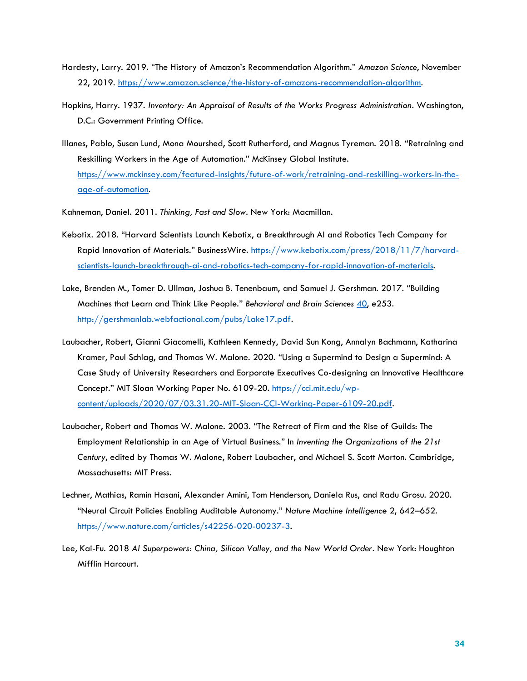- Hardesty, Larry. 2019. "The History of Amazon's Recommendation Algorithm." *Amazon Science*, November 22, 2019. [https://www.amazon.science/the-history-of-amazons-recommendation-algorithm.](https://www.amazon.science/the-history-of-amazons-recommendation-algorithm)
- Hopkins, Harry. 1937. *Inventory: An Appraisal of Results of the Works Progress Administration*. Washington, D.C.: Government Printing Office.
- Illanes, Pablo, Susan Lund, Mona Mourshed, Scott Rutherford, and Magnus Tyreman. 2018. "Retraining and Reskilling Workers in the Age of Automation." McKinsey Global Institute. [https://www.mckinsey.com/featured-insights/future-of-work/retraining-and-reskilling-workers-in-the](https://www.mckinsey.com/featured-insights/future-of-work/retraining-and-reskilling-workers-in-the-age-of-automation)[age-of-automation.](https://www.mckinsey.com/featured-insights/future-of-work/retraining-and-reskilling-workers-in-the-age-of-automation)

Kahneman, Daniel. 2011. *Thinking, Fast and Slow.* New York: Macmillan.

- Kebotix. 2018. "Harvard Scientists Launch Kebotix, a Breakthrough AI and Robotics Tech Company for Rapid Innovation of Materials." BusinessWire. [https://www.kebotix.com/press/2018/11/7/harvard](https://www.kebotix.com/press/2018/11/7/harvard-scientists-launch-breakthrough-ai-and-robotics-tech-company-for-rapid-innovation-of-materials)[scientists-launch-breakthrough-ai-and-robotics-tech-company-for-rapid-innovation-of-materials.](https://www.kebotix.com/press/2018/11/7/harvard-scientists-launch-breakthrough-ai-and-robotics-tech-company-for-rapid-innovation-of-materials)
- Lake, Brenden M., Tomer D. Ullman, Joshua B. Tenenbaum, and Samuel J. Gershman. 2017. "Building Machines that Learn and Think Like People." *Behavioral and Brain Sciences* [40,](/Users/lauraguild/Dropbox%20(MIT)/Future%20of%20Work/04%20Task%20Force/Briefings/Malone-Rus-Laubacher/40) e253*.*  [http://gershmanlab.webfactional.com/pubs/Lake17.pdf.](http://gershmanlab.webfactional.com/pubs/Lake17.pdf)
- Laubacher, Robert, Gianni Giacomelli, Kathleen Kennedy, David Sun Kong, Annalyn Bachmann, Katharina Kramer, Paul Schlag, and Thomas W. Malone. 2020. "Using a Supermind to Design a Supermind: A Case Study of University Researchers and Eorporate Executives Co-designing an Innovative Healthcare Concept." MIT Sloan Working Paper No. 6109-20. [https://cci.mit.edu/wp](https://cci.mit.edu/wp-content/uploads/2020/07/03.31.20-MIT-Sloan-CCI-Working-Paper-6109-20.pdf)[content/uploads/2020/07/03.31.20-MIT-Sloan-CCI-Working-Paper-6109-20.pdf.](https://cci.mit.edu/wp-content/uploads/2020/07/03.31.20-MIT-Sloan-CCI-Working-Paper-6109-20.pdf)
- Laubacher, Robert and Thomas W. Malone. 2003. "The Retreat of Firm and the Rise of Guilds: The Employment Relationship in an Age of Virtual Business." In *Inventing the Organizations of the 21st Century*, edited by Thomas W. Malone, Robert Laubacher, and Michael S. Scott Morton. Cambridge, Massachusetts: MIT Press.
- Lechner, Mathias, Ramin Hasani, Alexander Amini, Tom Henderson, Daniela Rus, and Radu Grosu. 2020. "Neural Circuit Policies Enabling Auditable Autonomy." *Nature Machine Intelligenc*e 2, 642–652. [https://www.nature.com/articles/s42256-020-00237-3.](https://www.nature.com/articles/s42256-020-00237-3)
- Lee, Kai-Fu. 2018 *AI Superpowers: China, Silicon Valley, and the New World Order*. New York: Houghton Mifflin Harcourt.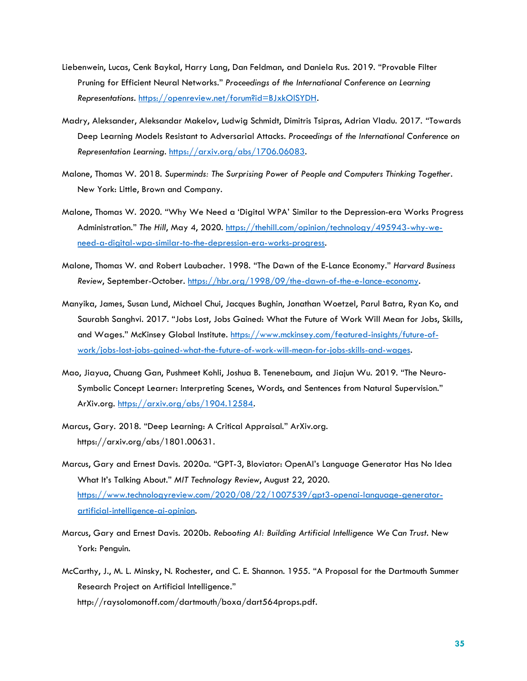- Liebenwein, Lucas, Cenk Baykal, Harry Lang, Dan Feldman, and Daniela Rus. 2019. "Provable Filter Pruning for Efficient Neural Networks." *Proceedings of the International Conference on Learning Representations*. [https://openreview.net/forum?id=BJxkOlSYDH.](https://openreview.net/forum?id=BJxkOlSYDH)
- Madry, Aleksander, Aleksandar Makelov, Ludwig Schmidt, Dimitris Tsipras, Adrian Vladu. 2017. "Towards Deep Learning Models Resistant to Adversarial Attacks. *Proceedings of the International Conference on Representation Learning*. [https://arxiv.org/abs/1706.06083.](https://arxiv.org/abs/1706.06083)
- Malone, Thomas W. 2018. *Superminds: The Surprising Power of People and Computers Thinking Together*. New York: Little, Brown and Company.
- Malone, Thomas W. 2020. "Why We Need a 'Digital WPA' Similar to the Depression-era Works Progress Administration." *The Hill*, May 4, 2020. [https://thehill.com/opinion/technology/495943-why-we](https://thehill.com/opinion/technology/495943-why-we-need-a-digital-wpa-similar-to-the-depression-era-works-progress)[need-a-digital-wpa-similar-to-the-depression-era-works-progress.](https://thehill.com/opinion/technology/495943-why-we-need-a-digital-wpa-similar-to-the-depression-era-works-progress)
- Malone, Thomas W. and Robert Laubacher. 1998. "The Dawn of the E-Lance Economy." *Harvard Business Review*, September-October. [https://hbr.org/1998/09/the-dawn-of-the-e-lance-economy.](https://hbr.org/1998/09/the-dawn-of-the-e-lance-economy)
- Manyika, James, Susan Lund, Michael Chui, Jacques Bughin, Jonathan Woetzel, Parul Batra, Ryan Ko, and Saurabh Sanghvi. 2017. "Jobs Lost, Jobs Gained: What the Future of Work Will Mean for Jobs, Skills, and Wages." McKinsey Global Institute. [https://www.mckinsey.com/featured-insights/future-of](https://www.mckinsey.com/featured-insights/future-of-work/jobs-lost-jobs-gained-what-the-future-of-work-will-mean-for-jobs-skills-and-wages)[work/jobs-lost-jobs-gained-what-the-future-of-work-will-mean-for-jobs-skills-and-wages.](https://www.mckinsey.com/featured-insights/future-of-work/jobs-lost-jobs-gained-what-the-future-of-work-will-mean-for-jobs-skills-and-wages)
- Mao, Jiayua, Chuang Gan, Pushmeet Kohli, Joshua B. Tenenebaum, and Jiajun Wu. 2019. "The Neuro-Symbolic Concept Learner: Interpreting Scenes, Words, and Sentences from Natural Supervision." ArXiv.org. https://arxiv.org/abs/1904.12584.
- Marcus, Gary. 2018. "Deep Learning: A Critical Appraisal." ArXiv.org. https://arxiv.org/abs/1801.00631.
- Marcus, Gary and Ernest Davis. 2020a. "GPT-3, Bloviator: OpenAI's Language Generator Has No Idea What It's Talking About." *MIT Technology Review*, August 22, 2020. [https://www.technologyreview.com/2020/08/22/1007539/gpt3-openai-language-generator](https://www.technologyreview.com/2020/08/22/1007539/gpt3-openai-language-generator-artificial-intelligence-ai-opinion)[artificial-intelligence-ai-opinion.](https://www.technologyreview.com/2020/08/22/1007539/gpt3-openai-language-generator-artificial-intelligence-ai-opinion)
- Marcus, Gary and Ernest Davis. 2020b. *Rebooting AI: Building Artificial Intelligence We Can Trust.* New York: Penguin.
- McCarthy, J., M. L. Minsky, N. Rochester, and C. E. Shannon. 1955. "A Proposal for the Dartmouth Summer Research Project on Artificial Intelligence." http://raysolomonoff.com/dartmouth/boxa/dart564props.pdf.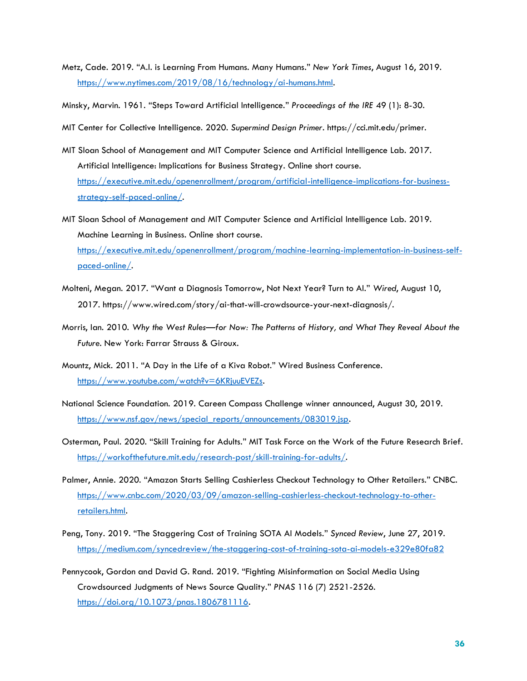Metz, Cade. 2019. "A.I. is Learning From Humans. Many Humans." *New York Times*, August 16, 2019. [https://www.nytimes.com/2019/08/16/technology/ai-humans.html.](https://www.nytimes.com/2019/08/16/technology/ai-humans.html)

Minsky, Marvin. 1961. "Steps Toward Artificial Intelligence." *Proceedings of the IRE* 49 (1): 8-30.

MIT Center for Collective Intelligence. 2020. *Supermind Design Primer.* https://cci.mit.edu/primer.

- MIT Sloan School of Management and MIT Computer Science and Artificial Intelligence Lab. 2017. Artificial Intelligence: Implications for Business Strategy. Online short course. [https://executive.mit.edu/openenrollment/program/artificial-intelligence-implications-for-business](https://executive.mit.edu/openenrollment/program/artificial-intelligence-implications-for-business-strategy-self-paced-online/)[strategy-self-paced-online/.](https://executive.mit.edu/openenrollment/program/artificial-intelligence-implications-for-business-strategy-self-paced-online/)
- MIT Sloan School of Management and MIT Computer Science and Artificial Intelligence Lab. 2019. Machine Learning in Business. Online short course. [https://executive.mit.edu/openenrollment/program/machine-learning-implementation-in-business-self](https://executive.mit.edu/openenrollment/program/machine-learning-implementation-in-business-self-paced-online/)[paced-online/.](https://executive.mit.edu/openenrollment/program/machine-learning-implementation-in-business-self-paced-online/)
- Molteni, Megan. 2017. "Want a Diagnosis Tomorrow, Not Next Year? Turn to AI." *Wired*, August 10, 2017. https://www.wired.com/story/ai‑that-will-crowdsource-your-next-diagnosis/.
- Morris, Ian. 2010. *Why the West Rules—for Now: The Patterns of History, and What They Reveal About the Future.* New York: Farrar Strauss & Giroux.
- Mountz, Mick. 2011. "A Day in the Life of a Kiva Robot." Wired Business Conference. https://www.youtube.com/watch?v=6KRjuuEVEZs.
- National Science Foundation. 2019. Careen Compass Challenge winner announced, August 30, 2019. https://www.nsf.gov/news/special\_reports/announcements/083019.jsp.
- Osterman, Paul. 2020. "Skill Training for Adults." MIT Task Force on the Work of the Future Research Brief. [https://workofthefuture.mit.edu/research-post/skill-training-for-adults/.](https://workofthefuture.mit.edu/research-post/skill-training-for-adults/)
- Palmer, Annie. 2020. "Amazon Starts Selling Cashierless Checkout Technology to Other Retailers." CNBC. [https://www.cnbc.com/2020/03/09/amazon-selling-cashierless-checkout-technology-to-other](https://www.cnbc.com/2020/03/09/amazon-selling-cashierless-checkout-technology-to-other-retailers.html)[retailers.html.](https://www.cnbc.com/2020/03/09/amazon-selling-cashierless-checkout-technology-to-other-retailers.html)
- Peng, Tony. 2019. "The Staggering Cost of Training SOTA AI Models." *Synced Review*, June 27, 2019. <https://medium.com/syncedreview/the-staggering-cost-of-training-sota-ai-models-e329e80fa82>
- Pennycook, Gordon and David G. Rand. 2019. "Fighting Misinformation on Social Media Using Crowdsourced Judgments of News Source Quality." *PNAS* 116 (7) 2521-2526. [https://doi.org/10.1073/pnas.1806781116.](https://doi.org/10.1073/pnas.1806781116)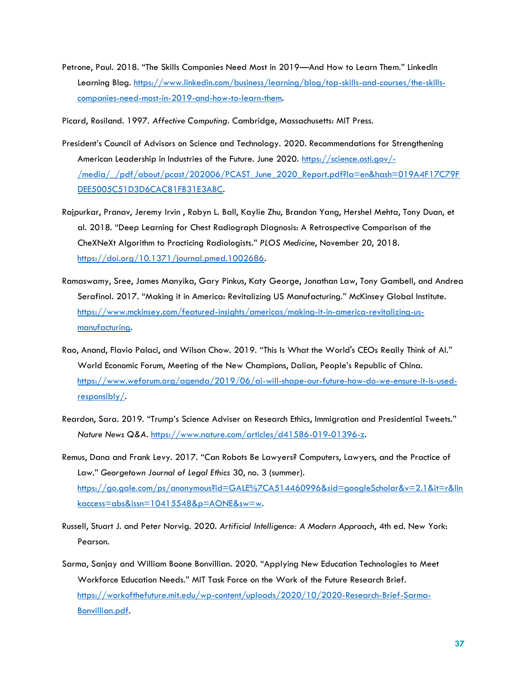Petrone, Paul. 2018. "The Skills Companies Need Most in 2019—And How to Learn Them." LinkedIn Learning Blog. [https://www.linkedin.com/business/learning/blog/top-skills-and-courses/the-skills](https://www.linkedin.com/business/learning/blog/top-skills-and-courses/the-skills-companies-need-most-in-2019-and-how-to-learn-them)[companies-need-most-in-2019-and-how-to-learn-them.](https://www.linkedin.com/business/learning/blog/top-skills-and-courses/the-skills-companies-need-most-in-2019-and-how-to-learn-them)

Picard, Rosiland. 1997. *Affective Computing*. Cambridge, Massachusetts: MIT Press.

- President's Council of Advisors on Science and Technology. 2020. Recommendations for Strengthening American Leadership in Industries of the Future. June 2020. [https://science.osti.gov/-](https://science.osti.gov/-/media/_/pdf/about/pcast/202006/PCAST_June_2020_Report.pdf?la=en&hash=019A4F17C79FDEE5005C51D3D6CAC81FB31E3ABC) [/media/\\_/pdf/about/pcast/202006/PCAST\\_June\\_2020\\_Report.pdf?la=en&hash=019A4F17C79F](https://science.osti.gov/-/media/_/pdf/about/pcast/202006/PCAST_June_2020_Report.pdf?la=en&hash=019A4F17C79FDEE5005C51D3D6CAC81FB31E3ABC) [DEE5005C51D3D6CAC81FB31E3ABC.](https://science.osti.gov/-/media/_/pdf/about/pcast/202006/PCAST_June_2020_Report.pdf?la=en&hash=019A4F17C79FDEE5005C51D3D6CAC81FB31E3ABC)
- Rajpurkar, Pranav, Jeremy Irvin , Robyn L. Ball, Kaylie Zhu, Brandon Yang, Hershel Mehta, Tony Duan, et al. 2018. "Deep Learning for Chest Radiograph Diagnosis: A Retrospective Comparison of the CheXNeXt Algorithm to Practicing Radiologists." *PLOS Medicine*, November 20, 2018. [https://doi.org/10.1371/journal.pmed.1002686.](https://doi.org/10.1371/journal.pmed.1002686)
- Ramaswamy, Sree, James Manyika, Gary Pinkus, Katy George, Jonathan Law, Tony Gambell, and Andrea Serafinol. 2017. "Making it in America: Revitalizing US Manufacturing." McKinsey Global Institute. [https://www.mckinsey.com/featured-insights/americas/making-it-in-america-revitalizing-us](https://www.mckinsey.com/featured-insights/americas/making-it-in-america-revitalizing-us-manufacturing)[manufacturing.](https://www.mckinsey.com/featured-insights/americas/making-it-in-america-revitalizing-us-manufacturing)
- Rao, Anand, Flavio Palaci, and Wilson Chow. 2019. "This Is What the World's CEOs Really Think of AI." World Economic Forum, Meeting of the New Champions, Dalian, People's Republic of China. [https://www.weforum.org/agenda/2019/06/ai-will-shape-our-future-how-do-we-ensure-it-is-used](https://www.weforum.org/agenda/2019/06/ai-will-shape-our-future-how-do-we-ensure-it-is-used-responsibly/)[responsibly/.](https://www.weforum.org/agenda/2019/06/ai-will-shape-our-future-how-do-we-ensure-it-is-used-responsibly/)
- Reardon, Sara. 2019. "Trump's Science Adviser on Research Ethics, Immigration and Presidential Tweets." *Nature News Q&A*. [https://www.nature.com/articles/d41586-019-01396-z.](https://www.nature.com/articles/d41586-019-01396-z)
- Remus, Dana and Frank Levy. 2017. "Can Robots Be Lawyers? Computers, Lawyers, and the Practice of Law." *Georgetown Journal of Legal Ethics* 30, no. 3 (summer). [https://go.gale.com/ps/anonymous?id=GALE%7CA514460996&sid=googleScholar&v=2.1&it=r&lin](https://go.gale.com/ps/anonymous?id=GALE%7CA514460996&sid=googleScholar&v=2.1&it=r&linkaccess=abs&issn=10415548&p=AONE&sw=w) [kaccess=abs&issn=10415548&p=AONE&sw=w.](https://go.gale.com/ps/anonymous?id=GALE%7CA514460996&sid=googleScholar&v=2.1&it=r&linkaccess=abs&issn=10415548&p=AONE&sw=w)
- Russell, Stuart J. and Peter Norvig. 2020. *Artificial Intelligence: A Modern Approach*, 4th ed. New York: Pearson.
- Sarma, Sanjay and William Boone Bonvillian. 2020. "Applying New Education Technologies to Meet Workforce Education Needs." MIT Task Force on the Work of the Future Research Brief. [https://workofthefuture.mit.edu/wp-content/uploads/2020/10/2020-Research-Brief-Sarma-](https://workofthefuture.mit.edu/wp-content/uploads/2020/10/2020-Research-Brief-Sarma-Bonvillian.pdf)[Bonvillian.pdf.](https://workofthefuture.mit.edu/wp-content/uploads/2020/10/2020-Research-Brief-Sarma-Bonvillian.pdf)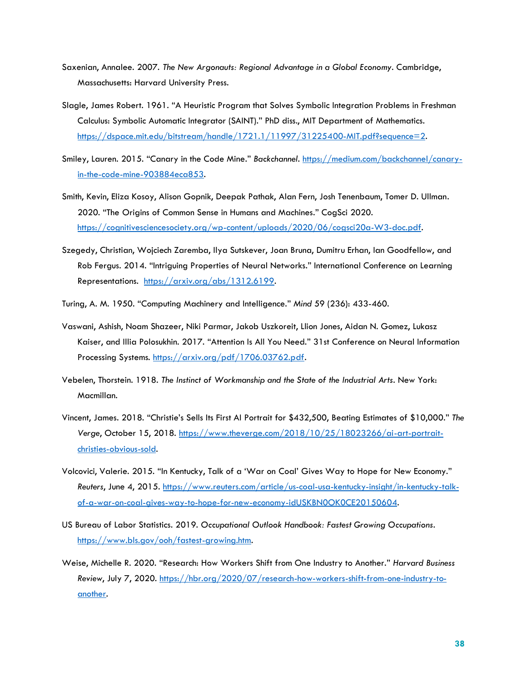- Saxenian, Annalee. 2007. *The New Argonauts: Regional Advantage in a Global Economy*. Cambridge, Massachusetts: Harvard University Press.
- Slagle, James Robert. 1961. "A Heuristic Program that Solves Symbolic Integration Problems in Freshman Calculus: Symbolic Automatic Integrator (SAINT)." PhD diss., MIT Department of Mathematics. [https://dspace.mit.edu/bitstream/handle/1721.1/11997/31225400-MIT.pdf?sequence=2.](https://dspace.mit.edu/bitstream/handle/1721.1/11997/31225400-MIT.pdf?sequence=2)
- Smiley, Lauren. 2015. "Canary in the Code Mine." *Backchannel*. [https://medium.com/backchannel/canary](https://medium.com/backchannel/canary-in-the-code-mine-903884eca853)[in-the-code-mine-903884eca853.](https://medium.com/backchannel/canary-in-the-code-mine-903884eca853)
- Smith, Kevin, Eliza Kosoy, Alison Gopnik, Deepak Pathak, Alan Fern, Josh Tenenbaum, Tomer D. Ullman. 2020. "The Origins of Common Sense in Humans and Machines." CogSci 2020. [https://cognitivesciencesociety.org/wp-content/uploads/2020/06/cogsci20a-W3-doc.pdf.](https://cognitivesciencesociety.org/wp-content/uploads/2020/06/cogsci20a-W3-doc.pdf)
- Szegedy, Christian, Wojciech Zaremba, Ilya Sutskever, Joan Bruna, Dumitru Erhan, Ian Goodfellow, and Rob Fergus. 2014. "Intriguing Properties of Neural Networks." International Conference on Learning Representations. [https://arxiv.org/abs/1312.6199.](https://arxiv.org/abs/1312.6199)
- Turing, A. M. 1950. "Computing Machinery and Intelligence." *Mind* 59 (236): 433-460.
- Vaswani, Ashish, Noam Shazeer, Niki Parmar, Jakob Uszkoreit, Llion Jones, Aidan N. Gomez, Lukasz Kaiser, and Illia Polosukhin. 2017. "Attention Is All You Need." 31st Conference on Neural Information Processing Systems. [https://arxiv.org/pdf/1706.03762.pdf.](https://arxiv.org/pdf/1706.03762.pdf)
- Vebelen, Thorstein. 1918. *The Instinct of Workmanship and the State of the Industrial Arts*. New York: Macmillan.
- Vincent, James. 2018. "Christie's Sells Its First AI Portrait for \$432,500, Beating Estimates of \$10,000." *The Verge*, October 15, 2018. [https://www.theverge.com/2018/10/25/18023266/ai-art-portrait](https://www.theverge.com/2018/10/25/18023266/ai-art-portrait-christies-obvious-sold)[christies-obvious-sold.](https://www.theverge.com/2018/10/25/18023266/ai-art-portrait-christies-obvious-sold)
- Volcovici, Valerie. 2015. "In Kentucky, Talk of a 'War on Coal' Gives Way to Hope for New Economy." *Reuters*, June 4, 2015. [https://www.reuters.com/article/us-coal-usa-kentucky-insight/in-kentucky-talk](https://www.reuters.com/article/us-coal-usa-kentucky-insight/in-kentucky-talk-of-a-war-on-coal-gives-way-to-hope-for-new-economy-idUSKBN0OK0CE20150604)[of-a-war-on-coal-gives-way-to-hope-for-new-economy-idUSKBN0OK0CE20150604.](https://www.reuters.com/article/us-coal-usa-kentucky-insight/in-kentucky-talk-of-a-war-on-coal-gives-way-to-hope-for-new-economy-idUSKBN0OK0CE20150604)
- US Bureau of Labor Statistics. 2019. *Occupational Outlook Handbook: Fastest Growing Occupations.* [https://www.bls.gov/ooh/fastest-growing.htm.](https://www.bls.gov/ooh/fastest-growing.htm)
- Weise, Michelle R. 2020. "Research: How Workers Shift from One Industry to Another." *Harvard Business Review*, July 7, 2020. [https://hbr.org/2020/07/research-how-workers-shift-from-one-industry-to](https://hbr.org/2020/07/research-how-workers-shift-from-one-industry-to-another)[another.](https://hbr.org/2020/07/research-how-workers-shift-from-one-industry-to-another)